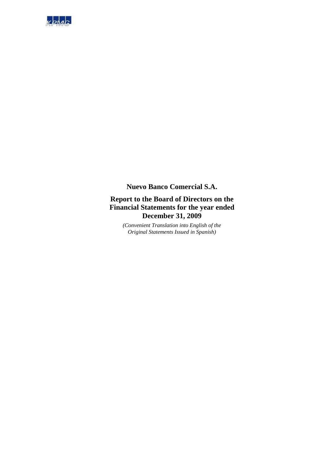

**Nuevo Banco Comercial S.A.**

## **Report to the Board of Directors on the Financial Statements for the year ended December 31, 2009**

*(Convenient Translation into English of the Original Statements Issued in Spanish)*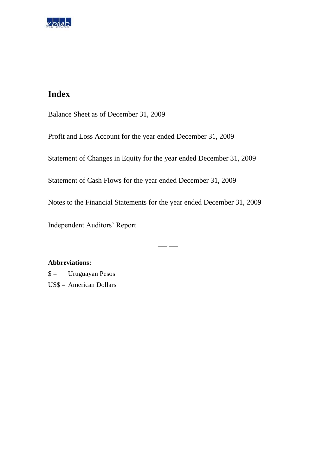

# **Index**

Balance Sheet as of December 31, 2009

Profit and Loss Account for the year ended December 31, 2009

Statement of Changes in Equity for the year ended December 31, 2009

Statement of Cash Flows for the year ended December 31, 2009

Notes to the Financial Statements for the year ended December 31, 2009

 $\sim$ 

Independent Auditors' Report

### **Abbreviations:**

 $\$\ =\$  Uruguayan Pesos US\$ = American Dollars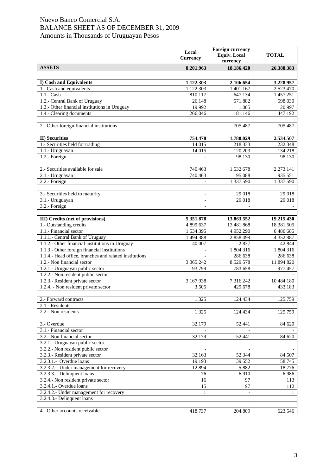## Nuevo Banco Comercial S.A. BALANCE SHEET AS OF DECEMBER 31, 2009 Amounts in Thousands of Uruguayan Pesos

|                                                                                      | Local<br><b>Currency</b> | <b>Foreign currency</b><br><b>Equiv.</b> Local<br>currency | <b>TOTAL</b>             |
|--------------------------------------------------------------------------------------|--------------------------|------------------------------------------------------------|--------------------------|
| <b>ASSETS</b>                                                                        | 8.201.963                | 18.186.420                                                 | 26.388.383               |
|                                                                                      |                          |                                                            |                          |
| I) Cash and Equivalents                                                              | 1.122.303                | 2.106.654                                                  | 3.228.957                |
| 1.- Cash and equivalents                                                             | 1.122.303                | 1.401.167                                                  | 2.523.470                |
| $1.1 - Cash$                                                                         | 810.117                  | 647.134                                                    | 1.457.251                |
| 1.2.- Central Bank of Uruguay                                                        | 26.148                   | 571.882                                                    | 598.030                  |
| 1.3.- Other financial institutions in Uruguay                                        | 19.992                   | 1.005                                                      | 20.997                   |
| 1.4.- Clearing documents                                                             | 266.046                  | 181.146                                                    | 447.192                  |
|                                                                                      |                          |                                                            |                          |
| 2.- Other foreign financial institutions                                             |                          | 705.487                                                    | 705.487                  |
|                                                                                      |                          |                                                            |                          |
| <b>II)</b> Securities<br>1.- Securities held for trading                             | 754.478                  | 1.780.029                                                  | 2.534.507                |
| 1.1.- Uruguayan                                                                      | 14.015<br>14.015         | 218.333<br>120.203                                         | 232.348<br>134.218       |
| 1.2.- Foreign                                                                        |                          | 98.130                                                     | 98.130                   |
|                                                                                      |                          |                                                            |                          |
| 2.- Securities available for sale                                                    | 740.463                  | 1.532.678                                                  | 2.273.141                |
| 2.1.- Uruguayan                                                                      | 740.463                  | 195.088                                                    | 935.551                  |
| 2.2.- Foreign                                                                        |                          | 1.337.590                                                  | 1.337.590                |
|                                                                                      |                          |                                                            |                          |
| 3.- Securities held to maturity                                                      | $\overline{\phantom{a}}$ | 29.018                                                     | 29.018                   |
| 3.1.- Uruguayan                                                                      |                          | 29.018                                                     | 29.018                   |
| 3.2.- Foreign                                                                        | $\blacksquare$           |                                                            |                          |
|                                                                                      |                          |                                                            |                          |
| <b>III</b> ) Credits (net of provisions)                                             | 5.351.878                | 13.863.552                                                 | 19.215.430               |
| 1.- Outstanding credits                                                              | 4.899.637                | 13.481.868                                                 | 18.381.505               |
| 1.1.- Financial sector                                                               | 1.534.395                | 4.952.290                                                  | 6.486.685                |
| 1.1.1.- Central Bank of Uruguay                                                      | 1.494.388                | 2.858.499                                                  | 4.352.887                |
| 1.1.2.- Other financial institutions in Uruguay                                      | 40.007                   | 2.837                                                      | 42.844                   |
| 1.1.3.- Other foreign financial institutions                                         |                          | 1.804.316                                                  | 1.804.316                |
| 1.1.4.- Head office, branches and related institutions<br>1.2.- Non financial sector | 3.365.242                | 286.638<br>8.529.578                                       | 286.638<br>11.894.820    |
| 1.2.1.- Uruguayan public sector                                                      | 193.799                  | 783.658                                                    | 977.457                  |
| 1.2.2.- Non resident public sector                                                   |                          |                                                            |                          |
| 1.2.3.- Resident private sector                                                      | 3.167.938                | 7.316.242                                                  | 10.484.180               |
| 1.2.4. - Non resident private sector                                                 | 3.505                    | 429.678                                                    | 433.183                  |
|                                                                                      |                          |                                                            |                          |
| 2.- Forward contracts                                                                | 1.325                    | 124.434                                                    | 125.759                  |
| 2.1.- Residents                                                                      |                          |                                                            |                          |
| 2.2.- Non residents                                                                  | 1.325                    | 124.434                                                    | 125.759                  |
|                                                                                      |                          |                                                            |                          |
| 3.- Overdue                                                                          | 32.179                   | 52.441                                                     | 84.620                   |
| 3.1.- Financial sector                                                               |                          |                                                            |                          |
| 3.2.- Non financial sector                                                           | 32.179                   | 52.441                                                     | 84.620                   |
| 3.2.1.- Uruguayan public sector                                                      |                          |                                                            |                          |
| 3.2.2.- Non resident public sector                                                   |                          |                                                            |                          |
| 3.2.3.- Resident private sector                                                      | 32.163                   | 52.344                                                     | 84.507                   |
| 3.2.3.1.- Overdue loans<br>3.2.3.2.- Under management for recovery                   | 19.193<br>12.894         | 39.552<br>5.882                                            | 58.745<br>18.776         |
| 3.2.3.3.- Delinquent loans                                                           | 76                       | 6.910                                                      | 6.986                    |
| 3.2.4.- Non resident private sector                                                  | 16                       | 97                                                         | 113                      |
| 3.2.4.1.- Overdue loans                                                              | 15                       | 97                                                         | 112                      |
| 3.2.4.2.- Under management for recovery                                              | $\mathbf{1}$             |                                                            | 1                        |
| 3.2.4.3.- Delinquent loans                                                           | $\overline{\phantom{a}}$ | $\overline{\phantom{a}}$                                   | $\overline{\phantom{a}}$ |
|                                                                                      |                          |                                                            |                          |
| 4.- Other accounts receivable                                                        | 418.737                  | 204.809                                                    | 623.546                  |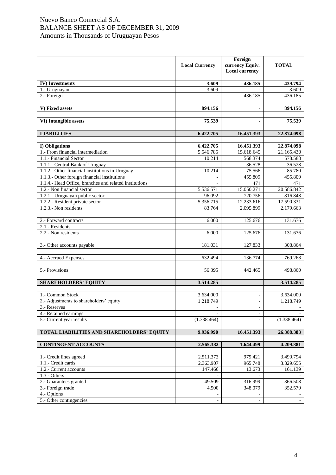## Nuevo Banco Comercial S.A. BALANCE SHEET AS OF DECEMBER 31, 2009 Amounts in Thousands of Uruguayan Pesos

|                                                          | <b>Local Currency</b> | Foreign<br>currency Equiv.<br><b>Local currency</b> | <b>TOTAL</b>     |
|----------------------------------------------------------|-----------------------|-----------------------------------------------------|------------------|
|                                                          |                       |                                                     |                  |
| <b>IV)</b> Investments                                   | 3.609                 | 436.185                                             | 439.794          |
| 1.- Uruguayan<br>2.- Foreign                             | 3.609                 | 436.185                                             | 3.609<br>436.185 |
|                                                          |                       |                                                     |                  |
| V) Fixed assets                                          | 894.156               | $\overline{\phantom{a}}$                            | 894.156          |
|                                                          |                       |                                                     |                  |
| VI) Intangible assets                                    | 75.539                | $\overline{\phantom{a}}$                            | 75.539           |
|                                                          |                       |                                                     |                  |
| <b>LIABILITIES</b>                                       | 6.422.705             | 16.451.393                                          | 22.874.098       |
|                                                          |                       |                                                     |                  |
| I) Obligations                                           | 6.422.705             | 16.451.393                                          | 22.874.098       |
| 1.- From financial intermediation                        | 5.546.785             | 15.618.645                                          | 21.165.430       |
| 1.1.- Financial Sector                                   | 10.214                | 568.374                                             | 578.588          |
| 1.1.1.- Central Bank of Uruguay                          |                       | 36.528                                              | 36.528           |
| 1.1.2.- Other financial institutions in Uruguay          | 10.214                | 75.566                                              | 85.780           |
| 1.1.3.- Other foreign financial institutions             |                       | 455.809                                             | 455.809          |
| 1.1.4.- Head Office, branches and related institutions   |                       | 471                                                 | 471              |
| 1.2.- Non financial sector                               | 5.536.571             | 15.050.271                                          | 20.586.842       |
| 1.2.1.- Uruguayan public sector                          | 96.092                | 720.756                                             | 816.848          |
| 1.2.2.- Resident private sector<br>1.2.3.- Non residents | 5.356.715             | 12.233.616                                          | 17.590.331       |
|                                                          | 83.764                | 2.095.899                                           | 2.179.663        |
| 2.- Forward contracts                                    | 6.000                 | 125.676                                             | 131.676          |
| 2.1.- Residents                                          |                       |                                                     |                  |
| 2.2.- Non residents                                      | 6.000                 | 125.676                                             | 131.676          |
|                                                          |                       |                                                     |                  |
| 3.- Other accounts payable                               | 181.031               | 127.833                                             | 308.864          |
|                                                          |                       |                                                     |                  |
| 4.- Accrued Expenses                                     | 632.494               | 136.774                                             | 769.268          |
|                                                          |                       |                                                     |                  |
| 5.- Provisions                                           | 56.395                | 442.465                                             | 498.860          |
|                                                          |                       |                                                     |                  |
| <b>SHAREHOLDERS' EQUITY</b>                              | 3.514.285             |                                                     | 3.514.285        |
|                                                          |                       |                                                     |                  |
| 1.- Common Stock                                         | 3.634.000             | $\overline{\phantom{a}}$                            | 3.634.000        |
| 2.- Adjustments to shareholders' equity                  | 1.218.749             | $\blacksquare$                                      | 1.218.749        |
| 3.- Reserves                                             |                       | $\overline{\phantom{0}}$                            |                  |
| 4.- Retained earnings<br>5.- Current year results        | (1.338.464)           | $\blacksquare$                                      |                  |
|                                                          |                       |                                                     | (1.338.464)      |
| <b>TOTAL LIABILITIES AND SHAREHOLDERS' EQUITY</b>        | 9.936.990             | 16.451.393                                          | 26.388.383       |
|                                                          |                       |                                                     |                  |
| <b>CONTINGENT ACCOUNTS</b>                               | 2.565.382             | 1.644.499                                           | 4.209.881        |
|                                                          |                       |                                                     |                  |
| 1.- Credit lines agreed                                  | 2.511.373             | 979.421                                             | 3.490.794        |
| 1.1.- Credit cards                                       | 2.363.907             | 965.748                                             | 3.329.655        |
| 1.2.- Current accounts                                   | 147.466               | 13.673                                              | 161.139          |
| 1.3.- Others                                             |                       |                                                     |                  |
| 2.- Guarantees granted                                   | 49.509                | 316.999                                             | 366.508          |
| 3.- Foreign trade                                        | 4.500                 | 348.079                                             | 352.579          |
| 4.- Options                                              |                       |                                                     |                  |
| 5.- Other contingencies                                  |                       |                                                     |                  |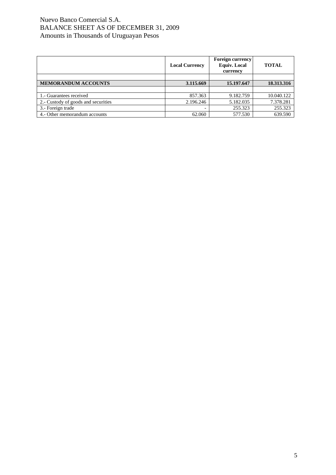## Nuevo Banco Comercial S.A. BALANCE SHEET AS OF DECEMBER 31, 2009 Amounts in Thousands of Uruguayan Pesos

|                                     | <b>Local Currency</b> | <b>Foreign currency</b><br><b>Equiv.</b> Local<br>currency | <b>TOTAL</b> |
|-------------------------------------|-----------------------|------------------------------------------------------------|--------------|
|                                     |                       |                                                            |              |
| <b>MEMORANDUM ACCOUNTS</b>          | 3.115.669             | 15.197.647                                                 | 18.313.316   |
|                                     |                       |                                                            |              |
| 1.- Guarantees received             | 857.363               | 9.182.759                                                  | 10.040.122   |
| 2.- Custody of goods and securities | 2.196.246             | 5.182.035                                                  | 7.378.281    |
| 3.- Foreign trade                   |                       | 255.323                                                    | 255.323      |
| 4.- Other memorandum accounts       | 62.060                | 577.530                                                    | 639.590      |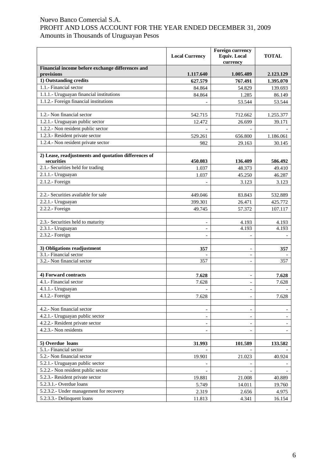|                                                                | <b>Local Currency</b> | <b>Foreign currency</b><br><b>Equiv.</b> Local<br>currency | <b>TOTAL</b>   |
|----------------------------------------------------------------|-----------------------|------------------------------------------------------------|----------------|
| Financial income before exchange differences and<br>provisions | 1.117.640             | 1.005.489                                                  | 2.123.129      |
| 1) Outstanding credits                                         | 627.579               | 767.491                                                    | 1.395.070      |
| 1.1.- Financial sector                                         | 84.864                | 54.829                                                     | 139.693        |
| 1.1.1.- Uruguayan financial institutions                       | 84.864                | 1.285                                                      | 86.149         |
| 1.1.2.- Foreign financial institutions                         |                       | 53.544                                                     | 53.544         |
|                                                                |                       |                                                            |                |
| 1.2.- Non financial sector                                     | 542.715               | 712.662                                                    | 1.255.377      |
| 1.2.1.- Uruguayan public sector                                | 12.472                | 26.699                                                     | 39.171         |
| 1.2.2.- Non resident public sector                             |                       |                                                            |                |
| 1.2.3.- Resident private sector                                | 529.261               | 656.800                                                    | 1.186.061      |
| 1.2.4.- Non resident private sector                            | 982                   | 29.163                                                     | 30.145         |
|                                                                |                       |                                                            |                |
| 2) Lease, readjustments and quotation differences of           |                       |                                                            |                |
| securities                                                     | 450.083               | 136.409                                                    | 586.492        |
| 2.1.- Securities held for trading                              | 1.037                 | 48.373                                                     | 49.410         |
| 2.1.1.- Uruguayan                                              | 1.037                 | 45.250                                                     | 46.287         |
| $2.1.2.$ - Foreign                                             |                       | 3.123                                                      | 3.123          |
|                                                                |                       |                                                            |                |
| 2.2.- Securities available for sale                            | 449.046               | 83.843                                                     | 532.889        |
| 2.2.1.- Uruguayan                                              | 399.301               | 26.471                                                     | 425.772        |
| 2.2.2.- Foreign                                                | 49.745                | 57.372                                                     | 107.117        |
| 2.3.- Securities held to maturity                              |                       |                                                            |                |
| 2.3.1.- Uruguayan                                              | $\blacksquare$        | 4.193<br>4.193                                             | 4.193<br>4.193 |
| 2.3.2.- Foreign                                                |                       |                                                            |                |
|                                                                |                       |                                                            |                |
| 3) Obligations readjustment                                    | 357                   |                                                            | 357            |
| 3.1.- Financial sector                                         |                       | $\overline{\phantom{a}}$                                   |                |
| 3.2.- Non financial sector                                     | 357                   | $\overline{\phantom{a}}$                                   | 357            |
|                                                                |                       |                                                            |                |
| 4) Forward contracts                                           | 7.628                 |                                                            | 7.628          |
| 4.1.- Financial sector                                         | 7.628                 |                                                            | 7.628          |
| 4.1.1.- Uruguayan                                              |                       |                                                            |                |
| 4.1.2.- Foreign                                                | 7.628                 | $\overline{\phantom{a}}$                                   | 7.628          |
|                                                                |                       |                                                            |                |
| 4.2.- Non financial sector                                     |                       |                                                            |                |
| 4.2.1.- Uruguayan public sector                                |                       |                                                            |                |
| 4.2.2.- Resident private sector                                |                       |                                                            |                |
| 4.2.3.- Non residents                                          |                       |                                                            |                |
|                                                                |                       |                                                            |                |
| 5) Overdue loans                                               | 31.993                | 101.589                                                    | 133.582        |
| 5.1.- Financial sector<br>5.2.- Non financial sector           |                       |                                                            |                |
|                                                                | 19.901                | 21.023                                                     | 40.924         |
| 5.2.1.- Uruguayan public sector                                |                       |                                                            |                |
| 5.2.2.- Non resident public sector                             |                       |                                                            |                |
| 5.2.3.- Resident private sector                                | 19.881                | 21.008                                                     | 40.889         |
| 5.2.3.1.- Overdue loans                                        | 5.749                 | 14.011                                                     | 19.760         |
| 5.2.3.2.- Under management for recovery                        | 2.319                 | 2.656                                                      | 4.975          |
| 5.2.3.3.- Delinquent loans                                     | 11.813                | 4.341                                                      | 16.154         |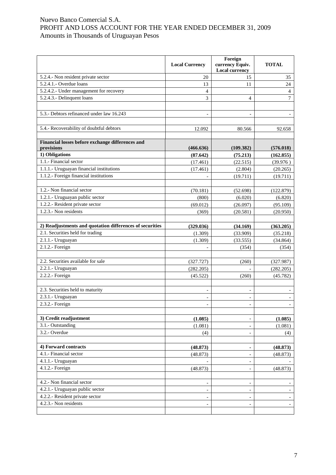|                                                          | <b>Local Currency</b>    | Foreign<br>currency Equiv.<br><b>Local currency</b> | <b>TOTAL</b>                |
|----------------------------------------------------------|--------------------------|-----------------------------------------------------|-----------------------------|
| 5.2.4.- Non resident private sector                      | 20                       | 15                                                  | 35                          |
| 5.2.4.1.- Overdue loans                                  | 13                       | 11                                                  | 24                          |
| 5.2.4.2.- Under management for recovery                  | 4                        |                                                     | $\overline{4}$              |
| 5.2.4.3.- Delinquent loans                               | 3                        | $\overline{4}$                                      | 7                           |
|                                                          |                          |                                                     |                             |
| 5.3.- Debtors refinanced under law 16.243                | $\overline{\phantom{a}}$ | $\overline{\phantom{a}}$                            | $ \,$                       |
|                                                          |                          |                                                     |                             |
| 5.4.- Recoverability of doubtful debtors                 | 12.092                   | 80.566                                              | 92.658                      |
|                                                          |                          |                                                     |                             |
| Financial losses before exchange differences and         |                          |                                                     |                             |
| provisions                                               | (466.636)                | (109.382)                                           | (576.018)                   |
| 1) Obligations                                           | (87.642)                 | (75.213)                                            | (162.855)                   |
| 1.1.- Financial sector                                   | (17.461)                 | (22.515)                                            | (39.976)                    |
| 1.1.1.- Uruguayan financial institutions                 | (17.461)                 | (2.804)                                             | (20.265)                    |
| 1.1.2.- Foreign financial institutions                   |                          | (19.711)                                            | (19.711)                    |
|                                                          |                          |                                                     |                             |
| 1.2.- Non financial sector                               | (70.181)                 | (52.698)                                            | (122.879)                   |
| 1.2.1.- Uruguayan public sector                          | (800)                    | (6.020)                                             | (6.820)                     |
| 1.2.2.- Resident private sector                          | (69.012)                 | (26.097)                                            | (95.109)                    |
| 1.2.3.- Non residents                                    | (369)                    | (20.581)                                            | (20.950)                    |
|                                                          |                          |                                                     |                             |
| 2) Readjustments and quotation differences of securities | (329.036)                | (34.169)                                            | (363.205)                   |
| 2.1. Securities held for trading                         | (1.309)                  | (33.909)                                            | (35.218)                    |
| 2.1.1.- Uruguayan                                        | (1.309)                  | (33.555)                                            | (34.864)                    |
| 2.1.2.- Foreign                                          |                          | (354)                                               | (354)                       |
|                                                          |                          |                                                     |                             |
| 2.2. Securities available for sale                       | (327.727)                | (260)                                               | (327.987)                   |
| 2.2.1.- Uruguayan                                        | (282.205)                |                                                     | (282.205)                   |
| 2.2.2.- Foreign                                          | (45.522)                 | (260)                                               | (45.782)                    |
|                                                          |                          |                                                     |                             |
| 2.3. Securities held to maturity                         | $\overline{\phantom{a}}$ | $\overline{\phantom{a}}$                            | $\overline{\phantom{a}}$    |
| 2.3.1.- Uruguayan                                        |                          |                                                     |                             |
| 2.3.2.- Foreign                                          |                          |                                                     | $\mathcal{L}^{\mathcal{A}}$ |
|                                                          |                          |                                                     |                             |
| 3) Credit readjustment                                   | (1.085)                  |                                                     | (1.085)                     |
| 3.1.- Outstanding                                        | (1.081)                  | $\overline{\phantom{0}}$                            | (1.081)                     |
| 3.2.- Overdue                                            | (4)                      | $\overline{a}$                                      | (4)                         |
|                                                          |                          |                                                     |                             |
| 4) Forward contracts                                     | (48.873)                 | ۰                                                   | (48.873)                    |
| 4.1.- Financial sector                                   | (48.873)                 | $\overline{\phantom{a}}$                            | (48.873)                    |
| 4.1.1.- Uruguayan                                        |                          | $\overline{\phantom{0}}$                            |                             |
| 4.1.2.- Foreign                                          | (48.873)                 | $\overline{\phantom{0}}$                            | (48.873)                    |
|                                                          |                          |                                                     |                             |
| 4.2.- Non financial sector                               |                          | $\overline{\phantom{0}}$                            |                             |
| 4.2.1.- Uruguayan public sector                          | $\overline{\phantom{a}}$ | $\overline{\phantom{a}}$                            | $\overline{\phantom{a}}$    |
| 4.2.2.- Resident private sector                          | $\overline{\phantom{a}}$ | $\overline{\phantom{0}}$                            | $\overline{\phantom{a}}$    |
| 4.2.3.- Non residents                                    |                          | $\overline{a}$                                      |                             |
|                                                          |                          |                                                     |                             |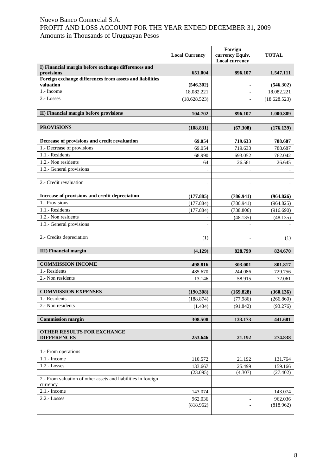|                                                                       | <b>Local Currency</b>   | Foreign<br>currency Equiv.<br><b>Local currency</b> | <b>TOTAL</b>            |
|-----------------------------------------------------------------------|-------------------------|-----------------------------------------------------|-------------------------|
| I) Financial margin before exchange differences and<br>provisions     | 651.004                 | 896.107                                             | 1.547.111               |
| Foreign exchange differences from assets and liabilities<br>valuation |                         |                                                     |                         |
| 1.- Income                                                            | (546.302)<br>18.082.221 |                                                     | (546.302)<br>18.082.221 |
| 2.-Losses                                                             | (18.628.523)            |                                                     | (18.628.523)            |
|                                                                       |                         |                                                     |                         |
| II) Financial margin before provisions                                | 104.702                 | 896.107                                             | 1.000.809               |
| <b>PROVISIONS</b>                                                     | (108.831)               | (67.308)                                            | (176.139)               |
|                                                                       |                         |                                                     |                         |
| Decrease of provisions and credit revaluation                         | 69.054                  | 719.633                                             | 788.687                 |
| 1.- Decrease of provisions                                            | 69.054                  | 719.633                                             | 788.687                 |
| 1.1.- Residents                                                       | 68.990                  | 693.052                                             | 762.042                 |
| 1.2.- Non residents                                                   | 64                      | 26.581                                              | 26.645                  |
| 1.3.- General provisions                                              |                         |                                                     |                         |
| 2.- Credit revaluation                                                |                         |                                                     |                         |
| Increase of provisions and credit depreciation                        | (177.885)               | (786.941)                                           | (964.826)               |
| 1.- Provisions                                                        | (177.884)               | (786.941)                                           | (964.825)               |
| 1.1.- Residents                                                       | (177.884)               | (738.806)                                           | (916.690)               |
| 1.2.- Non residents                                                   |                         | (48.135)                                            | (48.135)                |
| 1.3.- General provisions                                              |                         |                                                     |                         |
|                                                                       |                         |                                                     |                         |
| 2.- Credits depreciation                                              | (1)                     |                                                     | (1)                     |
| <b>III</b> ) Financial margin                                         | (4.129)                 | 828.799                                             | 824.670                 |
| <b>COMMISSION INCOME</b>                                              | 498.816                 | 303.001                                             | 801.817                 |
| 1.- Residents                                                         | 485.670                 | 244.086                                             | 729.756                 |
| 2.- Non residents                                                     | 13.146                  | 58.915                                              | 72.061                  |
|                                                                       |                         |                                                     |                         |
| <b>COMMISSION EXPENSES</b>                                            | (190.308)               | (169.828)                                           | (360.136)               |
| 1.- Residents                                                         | (188.874)               | (77.986)                                            | (266.860)               |
| 2.- Non residents                                                     | (1.434)                 | (91.842)                                            | (93.276)                |
|                                                                       |                         |                                                     |                         |
| <b>Commission margin</b>                                              | 308.508                 | 133.173                                             | 441.681                 |
| OTHER RESULTS FOR EXCHANGE<br><b>DIFFERENCES</b>                      | 253.646                 | 21.192                                              | 274.838                 |
|                                                                       |                         |                                                     |                         |
| 1.- From operations                                                   |                         |                                                     |                         |
| 1.1.- Income                                                          | 110.572                 | 21.192                                              | 131.764                 |
| 1.2.-Losses                                                           | 133.667                 | 25.499                                              | 159.166                 |
| 2.- From valuation of other assets and liabilities in foreign         | (23.095)                | (4.307)                                             | (27.402)                |
| currency                                                              |                         |                                                     |                         |
| 2.1.- Income                                                          | 143.074                 | $\overline{\phantom{a}}$                            | 143.074                 |
| 2.2.-Losses                                                           | 962.036                 | $\overline{\phantom{0}}$                            | 962.036                 |
|                                                                       | (818.962)               | $\overline{\phantom{a}}$                            | (818.962)               |
|                                                                       |                         |                                                     |                         |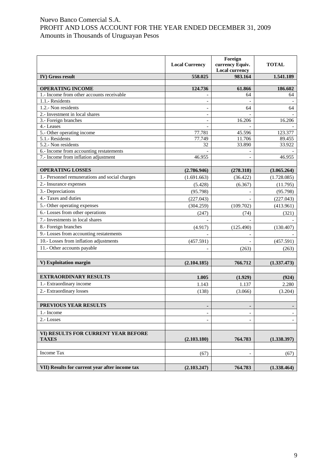|                                                     | <b>Local Currency</b>    | Foreign<br>currency Equiv.<br><b>Local currency</b> | <b>TOTAL</b> |
|-----------------------------------------------------|--------------------------|-----------------------------------------------------|--------------|
| IV) Gross result                                    | 558.025                  | 983.164                                             | 1.541.189    |
|                                                     |                          |                                                     |              |
| <b>OPERATING INCOME</b>                             | 124.736                  | 61.866                                              | 186.602      |
| 1.- Income from other accounts receivable           |                          | 64                                                  | 64           |
| 1.1.- Residents                                     | $\overline{a}$           | $\overline{a}$                                      |              |
| 1.2.- Non residents                                 |                          | 64                                                  | 64           |
| 2.- Investment in local shares                      | $\overline{a}$           |                                                     |              |
| 3.- Foreign branches                                | $\overline{\phantom{0}}$ | 16.206                                              | 16.206       |
| 4.-Leases                                           |                          |                                                     |              |
| 5.- Other operating income                          | 77.781                   | 45.596                                              | 123.377      |
| 5.1.- Residents<br>5.2.- Non residents              | 77.749<br>32             | 11.706                                              | 89.455       |
| 6.- Income from accounting restatements             |                          | 33.890                                              | 33.922       |
| 7.- Income from inflation adjustment                | 46.955                   | $\overline{\phantom{a}}$<br>$\overline{a}$          | 46.955       |
|                                                     |                          |                                                     |              |
| <b>OPERATING LOSSES</b>                             | (2.786.946)              | (278.318)                                           | (3.065.264)  |
| 1.- Personnel remunerations and social charges      | (1.691.663)              | (36.422)                                            | (1.728.085)  |
| 2.- Insurance expenses                              | (5.428)                  | (6.367)                                             | (11.795)     |
| 3.- Depreciations                                   | (95.798)                 | $\overline{\phantom{a}}$                            | (95.798)     |
| 4.- Taxes and duties                                | (227.043)                |                                                     | (227.043)    |
| 5.- Other operating expenses                        | (304.259)                | (109.702)                                           | (413.961)    |
| 6.- Losses from other operations                    | (247)                    | (74)                                                | (321)        |
| 7.- Investments in local shares                     |                          |                                                     |              |
| 8.- Foreign branches                                | (4.917)                  | (125.490)                                           | (130.407)    |
| 9.- Losses from accounting restatements             |                          |                                                     |              |
| 10.- Losses from inflation adjustments              | (457.591)                |                                                     | (457.591)    |
| 11.- Other accounts payable                         |                          | (263)                                               | (263)        |
|                                                     |                          |                                                     |              |
| V) Exploitation margin                              | (2.104.185)              | 766.712                                             | (1.337.473)  |
| <b>EXTRAORDINARY RESULTS</b>                        |                          |                                                     |              |
| 1.- Extraordinary income                            | 1.005                    | (1.929)                                             | (924)        |
|                                                     | 1.143                    | 1.137                                               | 2.280        |
| 2.- Extraordinary losses                            | (138)                    | (3.066)                                             | (3.204)      |
| <b>PREVIOUS YEAR RESULTS</b>                        |                          |                                                     |              |
| 1.- Income                                          |                          |                                                     |              |
| 2.-Losses                                           |                          |                                                     |              |
|                                                     |                          |                                                     |              |
| VI) RESULTS FOR CURRENT YEAR BEFORE<br><b>TAXES</b> | (2.103.180)              | 764.783                                             | (1.338.397)  |
|                                                     |                          |                                                     |              |
| Income Tax                                          | (67)                     |                                                     | (67)         |
|                                                     |                          |                                                     |              |
| VII) Results for current year after income tax      | (2.103.247)              | 764.783                                             | (1.338.464)  |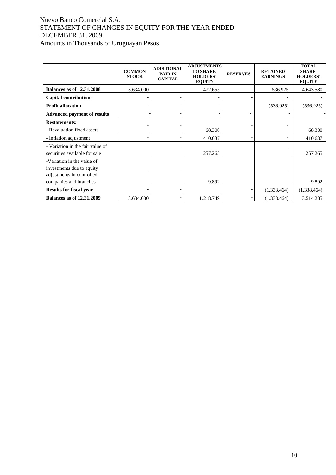## Nuevo Banco Comercial S.A. STATEMENT OF CHANGES IN EQUITY FOR THE YEAR ENDED DECEMBER 31, 2009 Amounts in Thousands of Uruguayan Pesos

|                                                                                                                | <b>COMMON</b><br><b>STOCK</b> | <b>ADDITIONAL</b><br><b>PAID IN</b><br><b>CAPITAL</b> | <b>ADJUSTMENTS</b><br><b>TO SHARE-</b><br><b>HOLDERS'</b><br><b>EQUITY</b> | <b>RESERVES</b> | <b>RETAINED</b><br><b>EARNINGS</b> | <b>TOTAL</b><br><b>SHARE-</b><br><b>HOLDERS'</b><br><b>EQUITY</b> |
|----------------------------------------------------------------------------------------------------------------|-------------------------------|-------------------------------------------------------|----------------------------------------------------------------------------|-----------------|------------------------------------|-------------------------------------------------------------------|
| <b>Balances as of 12.31.2008</b>                                                                               | 3.634.000                     |                                                       | 472.655                                                                    |                 | 536.925                            | 4.643.580                                                         |
| <b>Capital contributions</b>                                                                                   |                               |                                                       |                                                                            |                 |                                    |                                                                   |
| <b>Profit allocation</b>                                                                                       |                               |                                                       |                                                                            |                 | (536.925)                          | (536.925)                                                         |
| <b>Advanced payment of results</b>                                                                             |                               |                                                       |                                                                            |                 |                                    |                                                                   |
| <b>Restatements:</b><br>- Revaluation fixed assets                                                             |                               |                                                       | 68.300                                                                     |                 |                                    | 68.300                                                            |
| - Inflation adjustment                                                                                         | ۰                             |                                                       | 410.637                                                                    | ۰.              |                                    | 410.637                                                           |
| - Variation in the fair value of<br>securities available for sale                                              |                               |                                                       | 257.265                                                                    |                 |                                    | 257.265                                                           |
| -Variation in the value of<br>investments due to equity<br>adjustments in controlled<br>companies and branches |                               |                                                       | 9.892                                                                      |                 |                                    | 9.892                                                             |
| <b>Results for fiscal year</b>                                                                                 |                               |                                                       |                                                                            |                 | (1.338.464)                        | (1.338.464)                                                       |
| <b>Balances as of 12.31.2009</b>                                                                               | 3.634.000                     |                                                       | 1.218.749                                                                  | ٠               | (1.338.464)                        | 3.514.285                                                         |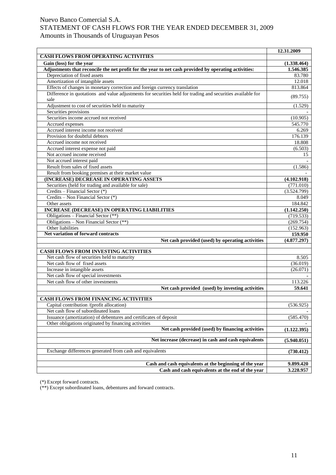## Nuevo Banco Comercial S.A. STATEMENT OF CASH FLOWS FOR THE YEAR ENDED DECEMBER 31, 2009 Amounts in Thousands of Uruguayan Pesos

|                                                                                                             | 12.31.2009  |
|-------------------------------------------------------------------------------------------------------------|-------------|
| <b>CASH FLOWS FROM OPERATING ACTIVITIES</b>                                                                 |             |
| Gain (loss) for the year                                                                                    | (1.338.464) |
| Adjustments that reconcile the net profit for the year to net cash provided by operating activities:        | 1.546.385   |
| Depreciation of fixed assets                                                                                | 83.780      |
| Amortization of intangible assets                                                                           | 12.018      |
| Effects of changes in monetary correction and foreign currency translation                                  | 813.864     |
| Difference in quotations and value adjustments for securities held for trading and securities available for | (89.755)    |
| sale                                                                                                        |             |
| Adjustment to cost of securities held to maturity                                                           | (1.529)     |
| Securities provisions                                                                                       |             |
| Securities income accrued not received                                                                      | (10.905)    |
| Accrued expenses                                                                                            | 545.770     |
| Accrued interest income not received                                                                        | 6.269       |
| Provision for doubtful debtors                                                                              | 176.139     |
| Accrued income not received                                                                                 | 18.808      |
| Accrued interest expense not paid                                                                           | (6.503)     |
| Not accrued income received                                                                                 | 15          |
| Not accrued interest paid                                                                                   |             |
| Result from sales of fixed assets                                                                           | (1.586)     |
| Result from booking premises at their market value                                                          |             |
| (INCREASE) DECREASE IN OPERATING ASSETS                                                                     | (4.102.918) |
| Securities (held for trading and available for sale)                                                        | (771.010)   |
| Credits - Financial Sector (*)                                                                              | (3.524.799) |
| Credits - Non Financial Sector (*)                                                                          | 8.049       |
| Other assets                                                                                                | 184.842     |
| <b>INCREASE (DECREASE) IN OPERATING LIABILITIES</b>                                                         | (1.142.250) |
| Obligations - Financial Sector (**)                                                                         | (719.533)   |
| Obligations - Non Financial Sector (**)                                                                     | (269.754)   |
| Other liabilities                                                                                           | (152.963)   |
| <b>Net variation of forward contracts</b>                                                                   | 159.950     |
| Net cash provided (used) by operating activities                                                            | (4.877.297) |
|                                                                                                             |             |
| CASH FLOWS FROM INVESTING ACTIVITIES                                                                        |             |
| Net cash flow of securities held to maturity                                                                | 8.505       |
| Net cash flow of fixed assets                                                                               | (36.019)    |
| Increase in intangible assets                                                                               | (26.071)    |
| Net cash flow of special investments                                                                        |             |
| Net cash flow of other investments                                                                          | 113.226     |
| Net cash provided (used) by investing activities                                                            | 59.641      |
|                                                                                                             |             |
| <b>CASH FLOWS FROM FINANCING ACTIVITIES</b>                                                                 |             |
| Capital contribution /(profit allocation)                                                                   | (536.925)   |
| Net cash flow of subordinated loans                                                                         |             |
| Issuance (amortization) of debentures and certificates of deposit                                           | (585.470)   |
| Other obligations originated by financing activities                                                        |             |
| Net cash provided (used) by financing activities                                                            | (1.122.395) |
|                                                                                                             |             |
| Net increase (decrease) in cash and cash equivalents                                                        | (5.940.051) |
| Exchange differences generated from cash and equivalents                                                    | (730.412)   |
|                                                                                                             |             |
| Cash and cash equivalents at the beginning of the year                                                      | 9.899.420   |
| Cash and cash equivalents at the end of the year                                                            | 3.228.957   |
|                                                                                                             |             |

(\*) Except forward contracts.

(\*\*) Except subordinated loans, debentures and forward contracts.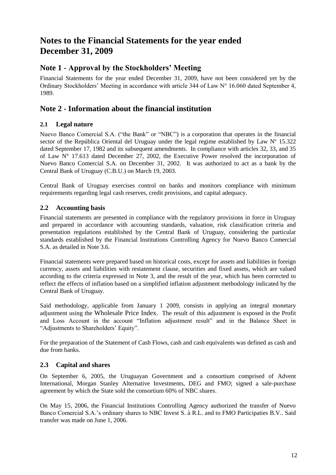# **Notes to the Financial Statements for the year ended December 31, 2009**

## **Note 1 - Approval by the Stockholders' Meeting**

Financial Statements for the year ended December 31, 2009, have not been considered yet by the Ordinary Stockholders' Meeting in accordance with article 344 of Law N° 16.060 dated September 4, 1989.

## **Note 2 - Information about the financial institution**

## **2.1 Legal nature**

Nuevo Banco Comercial S.A. ("the Bank" or "NBC") is a corporation that operates in the financial sector of the República Oriental del Uruguay under the legal regime established by Law N° 15.322 dated September 17, 1982 and its subsequent amendments. In compliance with articles 32, 33, and 35 of Law N° 17.613 dated December 27, 2002, the Executive Power resolved the incorporation of Nuevo Banco Comercial S.A. on December 31, 2002. It was authorized to act as a bank by the Central Bank of Uruguay (C.B.U.) on March 19, 2003.

Central Bank of Uruguay exercises control on banks and monitors compliance with minimum requirements regarding legal cash reserves, credit provisions, and capital adequacy.

## **2.2 Accounting basis**

Financial statements are presented in compliance with the regulatory provisions in force in Uruguay and prepared in accordance with accounting standards, valuation, risk classification criteria and presentation regulations established by the Central Bank of Uruguay, considering the particular standards established by the Financial Institutions Controlling Agency for Nuevo Banco Comercial S.A. as detailed in Note 3.6.

Financial statements were prepared based on historical costs, except for assets and liabilities in foreign currency, assets and liabilities with restatement clause, securities and fixed assets, which are valued according to the criteria expressed in Note 3, and the result of the year, which has been corrected to reflect the effects of inflation based on a simplified inflation adjustment methodology indicated by the Central Bank of Uruguay.

Said methodology, applicable from January 1 2009, consists in applying an integral monetary adjustment using the Wholesale Price Index. The result of this adjustment is exposed in the Profit and Loss Account in the account "Inflation adjustment result" and in the Balance Sheet in "Adjustments to Shareholders' Equity".

For the preparation of the Statement of Cash Flows, cash and cash equivalents was defined as cash and due from banks.

## **2.3 Capital and shares**

On September 6, 2005, the Uruguayan Government and a consortium comprised of Advent International, Morgan Stanley Alternative Investments, DEG and FMO; signed a sale-purchase agreement by which the State sold the consortium 60% of NBC shares.

On May 15, 2006, the Financial Institutions Controlling Agency authorized the transfer of Nuevo Banco Comercial S.A.'s ordinary shares to NBC Invest S. à R.L. and to FMO Participaties B.V.. Said transfer was made on June 1, 2006.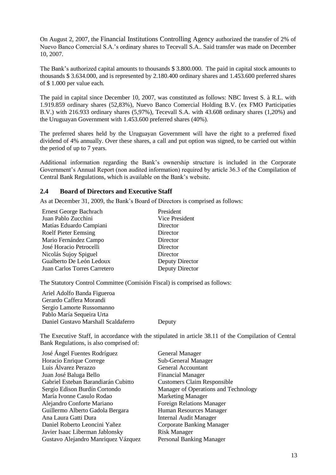On August 2, 2007, the Financial Institutions Controlling Agency authorized the transfer of 2% of Nuevo Banco Comercial S.A.'s ordinary shares to Tecevall S.A.. Said transfer was made on December 10, 2007.

The Bank's authorized capital amounts to thousands \$ 3.800.000. The paid in capital stock amounts to thousands \$ 3.634.000, and is represented by 2.180.400 ordinary shares and 1.453.600 preferred shares of \$ 1.000 per value each.

The paid in capital since December 10, 2007, was constituted as follows: NBC Invest S. à R.L. with 1.919.859 ordinary shares (52,83%), Nuevo Banco Comercial Holding B.V. (ex FMO Participaties B.V.) with 216.933 ordinary shares (5,97%), Tecevall S.A. with 43.608 ordinary shares (1,20%) and the Uruguayan Government with 1.453.600 preferred shares (40%).

The preferred shares held by the Uruguayan Government will have the right to a preferred fixed dividend of 4% annually. Over these shares, a call and put option was signed, to be carried out within the period of up to 7 years.

Additional information regarding the Bank's ownership structure is included in the Corporate Government's Annual Report (non audited information) required by article 36.3 of the Compilation of Central Bank Regulations, which is available on the Bank's website.

#### **2.4 Board of Directors and Executive Staff**

As at December 31, 2009, the Bank's Board of Directors is comprised as follows:

| Ernest George Bachrach       | President       |
|------------------------------|-----------------|
| Juan Pablo Zucchini          | Vice President  |
| Matías Eduardo Campiani      | Director        |
| <b>Roelf Pieter Eemsing</b>  | Director        |
| Mario Fernández Campo        | Director        |
| José Horacio Petrocelli      | Director        |
| Nicolás Sujoy Spiguel        | Director        |
| Gualberto De León Ledoux     | Deputy Director |
| Juan Carlos Torres Carretero | Deputy Director |

The Statutory Control Committee (Comisión Fiscal) is comprised as follows:

Ariel Adolfo Banda Figueroa Gerardo Caffera Morandi Sergio Lamorte Russomanno Pablo María Sequeira Urta Daniel Gustavo Marshall Scaldaferro Deputy

The Executive Staff, in accordance with the stipulated in article 38.11 of the Compilation of Central Bank Regulations, is also comprised of:

| José Ángel Fuentes Rodríguez        | <b>General Manager</b>               |
|-------------------------------------|--------------------------------------|
| Horacio Enrique Correge             | <b>Sub-General Manager</b>           |
| Luis Álvarez Perazzo                | General Accountant                   |
| Juan José Baluga Bello              | <b>Financial Manager</b>             |
| Gabriel Esteban Barandiarán Cubitto | <b>Customers Claim Responsible</b>   |
| Sergio Edison Burdín Cortondo       | Manager of Operations and Technology |
| María Ivonne Casulo Rodao           | <b>Marketing Manager</b>             |
| Alejandro Conforte Mariano          | <b>Foreign Relations Manager</b>     |
| Guillermo Alberto Gadola Bergara    | Human Resources Manager              |
| Ana Laura Gatti Dura                | <b>Internal Audit Manager</b>        |
| Daniel Roberto Leoncini Yañez       | Corporate Banking Manager            |
| Javier Isaac Liberman Jablonsky     | Risk Manager                         |
| Gustavo Alejandro Manriquez Vázquez | Personal Banking Manager             |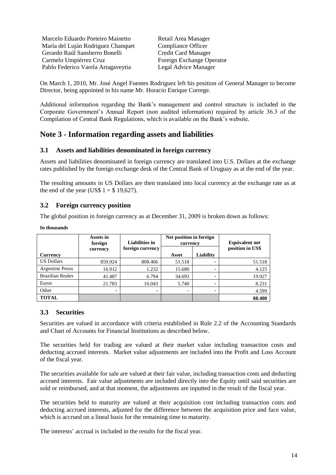| Marcelo Eduardo Porteiro Mainetto  | Retail Area Manager       |
|------------------------------------|---------------------------|
| María del Luján Rodriguez Chanquet | Compliance Officer        |
| Gerardo Raúl Sansberro Bonelli     | Credit Card Manager       |
| Carmelo Umpiérrez Cruz             | Foreign Exchange Operator |
| Pablo Federico Varela Artagaveytia | Legal Advice Manager      |

On March 1, 2010, Mr. José Angel Fuentes Rodriguez left his position of General Manager to become Director, being appointed in his name Mr. Horacio Enrique Correge.

Additional information regarding the Bank's management and control structure is included in the Corporate Government's Annual Report (non audited information) required by article 36.3 of the Compilation of Central Bank Regulations, which is available on the Bank's website.

## **Note 3 - Information regarding assets and liabilities**

#### **3.1 Assets and liabilities denominated in foreign currency**

Assets and liabilities denominated in foreign currency are translated into U.S. Dollars at the exchange rates published by the foreign exchange desk of the Central Bank of Uruguay as at the end of the year.

The resulting amounts in US Dollars are then translated into local currency at the exchange rate as at the end of the year (US\$  $1 = $ 19,627$ ).

### **3.2 Foreign currency position**

The global position in foreign currency as at December 31, 2009 is broken down as follows:

#### **In thousands**

|                         | Assets in<br>foreign | <b>Liabilities in</b> | Net position in foreign<br>currency |           | <b>Equivalent net</b> |
|-------------------------|----------------------|-----------------------|-------------------------------------|-----------|-----------------------|
|                         | currency             | foreign currency      |                                     |           | position in US\$      |
| Currency                |                      |                       | Asset                               | Liability |                       |
| <b>US Dollars</b>       | 859.924              | 808.406               | 51.518                              | ۰         | 51.518                |
| Argentine Pesos         | 16.912               | 1.232                 | 15.680                              | ۰.        | 4.125                 |
| <b>Brazilian Reales</b> | 41.487               | 6.794                 | 34.693                              | ۰.        | 19.927                |
| Euros                   | 21.783               | 16.043                | 5.740                               | ۰         | 8.231                 |
| Other                   | ۰                    | ۰                     | ۰                                   | ۰         | 4.599                 |
| TOTAL                   |                      |                       |                                     |           | 88.400                |

#### **3.3 Securities**

Securities are valued in accordance with criteria established in Rule 2.2 of the Accounting Standards and Chart of Accounts for Financial Institutions as described below.

The securities held for trading are valued at their market value including transaction costs and deducting accrued interests. Market value adjustments are included into the Profit and Loss Account of the fiscal year.

The securities available for sale are valued at their fair value, including transaction costs and deducting accrued interests. Fair value adjustments are included directly into the Equity until said securities are sold or reimbursed, and at that moment, the adjustments are inputted in the result of the fiscal year.

The securities held to maturity are valued at their acquisition cost including transaction costs and deducting accrued interests, adjusted for the difference between the acquisition price and face value, which is accrued on a lineal basis for the remaining time to maturity.

The interests' accrual is included in the results for the fiscal year.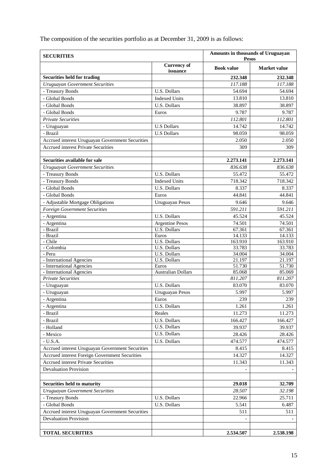The composition of the securities portfolio as at December 31, 2009 is as follows:

| <b>Book value</b><br><b>Market value</b><br>issuance<br><b>Securities held for trading</b><br>232.348<br>232.348<br>117.188<br>117.188<br><b>Uruguayan Government Securities</b><br>- Treasury Bonds<br>U.S. Dollars<br>54.694<br>54.694<br>- Global Bonds<br><b>Indexed Units</b><br>13.810<br>13.810<br>U.S. Dollars<br>38.897<br>38.897<br>- Global Bonds<br>9.787<br>- Global Bonds<br>9.787<br>Euros<br><b>Private Securities</b><br>112.801<br>112.801<br><b>U.S Dollars</b><br>14.742<br>14.742<br>- Uruguayan<br>- Brazil<br><b>U.S Dollars</b><br>98.059<br>98.059<br>Accrued interest Uruguayan Government Securities<br>2.050<br>2.050<br><b>Accrued interest Private Securities</b><br>309<br>309<br>2.273.141<br>Securities available for sale<br>2.273.141<br><b>Uruguayan Government Securities</b><br>836.638<br>836.638<br>U.S. Dollars<br>55.472<br>- Treasury Bonds<br>55.472<br>- Treasury Bonds<br><b>Indexed Units</b><br>718.342<br>718.342<br>- Global Bonds<br>U.S. Dollars<br>8.337<br>8.337<br>- Global Bonds<br>44.841<br>44.841<br>Euros<br>- Adjustable Mortgage Obligations<br><b>Uruguayan Pesos</b><br>9.646<br>9.646<br>591.211<br><b>Foreign Government Securities</b><br>591.211<br>U.S. Dollars<br>45.524<br>45.524<br>- Argentina<br><b>Argentine Pesos</b><br>74.501<br>- Argentina<br>74.501<br>- Brazil<br><b>U.S. Dollars</b><br>67.361<br>67.361<br>- Brazil<br>14.133<br>14.133<br>Euros<br>U.S. Dollars<br>- Chile<br>163.910<br>163.910<br>- Colombia<br>33.783<br>33.783<br>U.S. Dollars<br>- Peru<br><b>U.S. Dollars</b><br>34.004<br>34.004<br><b>U.S. Dollars</b><br>21.197<br>- International Agencies<br>21.197<br>51.730<br>51.730<br>- International Agencies<br>Euros<br><b>Australian Dollars</b><br>85.068<br>85.069<br>- International Agencies<br><b>Private Securities</b><br>811.207<br>811.207<br>U.S. Dollars<br>83.070<br>- Uruguayan<br>83.070<br>- Uruguayan<br>5.997<br><b>Uruguayan Pesos</b><br>5.997<br>- Argentina<br>Euros<br>239<br>239<br>U.S. Dollars<br>- Argentina<br>1.261<br>1.261<br>- Brazil<br>11.273<br>11.273<br>Reales<br>- Brazil<br>U.S. Dollars<br>166.427<br>166.427<br>U.S. Dollars<br>- Holland<br>39.937<br>39.937<br>U.S. Dollars<br>- Mexico<br>28.426<br>28.426<br>$-$ U.S.A.<br>U.S. Dollars<br>474.577<br>474.577<br>Accrued interest Uruguayan Government Securities<br>8.415<br>8.415<br>Accrued interest Foreign Government Securities<br>14.327<br>14.327<br><b>Accrued interest Private Securities</b><br>11.343<br>11.343<br><b>Devaluation Provision</b><br><b>Securities held to maturity</b><br>29.018<br>32.709<br><b>Uruguayan Government Securities</b><br>28.507<br>32.198<br>- Treasury Bonds<br>U.S. Dollars<br>22.966<br>25.711<br>- Global Bonds<br>U.S. Dollars<br>5.541<br>6.487<br>Accrued interest Uruguayan Government Securities<br>511<br>511<br><b>Devaluation Provision</b><br><b>TOTAL SECURITIES</b><br>2.534.507<br>2.538.198 | <b>SECURITIES</b> |                    | Amounts in thousands of Uruguayan<br><b>Pesos</b> |  |
|-------------------------------------------------------------------------------------------------------------------------------------------------------------------------------------------------------------------------------------------------------------------------------------------------------------------------------------------------------------------------------------------------------------------------------------------------------------------------------------------------------------------------------------------------------------------------------------------------------------------------------------------------------------------------------------------------------------------------------------------------------------------------------------------------------------------------------------------------------------------------------------------------------------------------------------------------------------------------------------------------------------------------------------------------------------------------------------------------------------------------------------------------------------------------------------------------------------------------------------------------------------------------------------------------------------------------------------------------------------------------------------------------------------------------------------------------------------------------------------------------------------------------------------------------------------------------------------------------------------------------------------------------------------------------------------------------------------------------------------------------------------------------------------------------------------------------------------------------------------------------------------------------------------------------------------------------------------------------------------------------------------------------------------------------------------------------------------------------------------------------------------------------------------------------------------------------------------------------------------------------------------------------------------------------------------------------------------------------------------------------------------------------------------------------------------------------------------------------------------------------------------------------------------------------------------------------------------------------------------------------------------------------------------------------------------------------------------------------------------------------------------------------------------------------------------------------------------------------------------------------------------------------------------------------------------------------------------|-------------------|--------------------|---------------------------------------------------|--|
|                                                                                                                                                                                                                                                                                                                                                                                                                                                                                                                                                                                                                                                                                                                                                                                                                                                                                                                                                                                                                                                                                                                                                                                                                                                                                                                                                                                                                                                                                                                                                                                                                                                                                                                                                                                                                                                                                                                                                                                                                                                                                                                                                                                                                                                                                                                                                                                                                                                                                                                                                                                                                                                                                                                                                                                                                                                                                                                                                             |                   | <b>Currency of</b> |                                                   |  |
|                                                                                                                                                                                                                                                                                                                                                                                                                                                                                                                                                                                                                                                                                                                                                                                                                                                                                                                                                                                                                                                                                                                                                                                                                                                                                                                                                                                                                                                                                                                                                                                                                                                                                                                                                                                                                                                                                                                                                                                                                                                                                                                                                                                                                                                                                                                                                                                                                                                                                                                                                                                                                                                                                                                                                                                                                                                                                                                                                             |                   |                    |                                                   |  |
|                                                                                                                                                                                                                                                                                                                                                                                                                                                                                                                                                                                                                                                                                                                                                                                                                                                                                                                                                                                                                                                                                                                                                                                                                                                                                                                                                                                                                                                                                                                                                                                                                                                                                                                                                                                                                                                                                                                                                                                                                                                                                                                                                                                                                                                                                                                                                                                                                                                                                                                                                                                                                                                                                                                                                                                                                                                                                                                                                             |                   |                    |                                                   |  |
|                                                                                                                                                                                                                                                                                                                                                                                                                                                                                                                                                                                                                                                                                                                                                                                                                                                                                                                                                                                                                                                                                                                                                                                                                                                                                                                                                                                                                                                                                                                                                                                                                                                                                                                                                                                                                                                                                                                                                                                                                                                                                                                                                                                                                                                                                                                                                                                                                                                                                                                                                                                                                                                                                                                                                                                                                                                                                                                                                             |                   |                    |                                                   |  |
|                                                                                                                                                                                                                                                                                                                                                                                                                                                                                                                                                                                                                                                                                                                                                                                                                                                                                                                                                                                                                                                                                                                                                                                                                                                                                                                                                                                                                                                                                                                                                                                                                                                                                                                                                                                                                                                                                                                                                                                                                                                                                                                                                                                                                                                                                                                                                                                                                                                                                                                                                                                                                                                                                                                                                                                                                                                                                                                                                             |                   |                    |                                                   |  |
|                                                                                                                                                                                                                                                                                                                                                                                                                                                                                                                                                                                                                                                                                                                                                                                                                                                                                                                                                                                                                                                                                                                                                                                                                                                                                                                                                                                                                                                                                                                                                                                                                                                                                                                                                                                                                                                                                                                                                                                                                                                                                                                                                                                                                                                                                                                                                                                                                                                                                                                                                                                                                                                                                                                                                                                                                                                                                                                                                             |                   |                    |                                                   |  |
|                                                                                                                                                                                                                                                                                                                                                                                                                                                                                                                                                                                                                                                                                                                                                                                                                                                                                                                                                                                                                                                                                                                                                                                                                                                                                                                                                                                                                                                                                                                                                                                                                                                                                                                                                                                                                                                                                                                                                                                                                                                                                                                                                                                                                                                                                                                                                                                                                                                                                                                                                                                                                                                                                                                                                                                                                                                                                                                                                             |                   |                    |                                                   |  |
|                                                                                                                                                                                                                                                                                                                                                                                                                                                                                                                                                                                                                                                                                                                                                                                                                                                                                                                                                                                                                                                                                                                                                                                                                                                                                                                                                                                                                                                                                                                                                                                                                                                                                                                                                                                                                                                                                                                                                                                                                                                                                                                                                                                                                                                                                                                                                                                                                                                                                                                                                                                                                                                                                                                                                                                                                                                                                                                                                             |                   |                    |                                                   |  |
|                                                                                                                                                                                                                                                                                                                                                                                                                                                                                                                                                                                                                                                                                                                                                                                                                                                                                                                                                                                                                                                                                                                                                                                                                                                                                                                                                                                                                                                                                                                                                                                                                                                                                                                                                                                                                                                                                                                                                                                                                                                                                                                                                                                                                                                                                                                                                                                                                                                                                                                                                                                                                                                                                                                                                                                                                                                                                                                                                             |                   |                    |                                                   |  |
|                                                                                                                                                                                                                                                                                                                                                                                                                                                                                                                                                                                                                                                                                                                                                                                                                                                                                                                                                                                                                                                                                                                                                                                                                                                                                                                                                                                                                                                                                                                                                                                                                                                                                                                                                                                                                                                                                                                                                                                                                                                                                                                                                                                                                                                                                                                                                                                                                                                                                                                                                                                                                                                                                                                                                                                                                                                                                                                                                             |                   |                    |                                                   |  |
|                                                                                                                                                                                                                                                                                                                                                                                                                                                                                                                                                                                                                                                                                                                                                                                                                                                                                                                                                                                                                                                                                                                                                                                                                                                                                                                                                                                                                                                                                                                                                                                                                                                                                                                                                                                                                                                                                                                                                                                                                                                                                                                                                                                                                                                                                                                                                                                                                                                                                                                                                                                                                                                                                                                                                                                                                                                                                                                                                             |                   |                    |                                                   |  |
|                                                                                                                                                                                                                                                                                                                                                                                                                                                                                                                                                                                                                                                                                                                                                                                                                                                                                                                                                                                                                                                                                                                                                                                                                                                                                                                                                                                                                                                                                                                                                                                                                                                                                                                                                                                                                                                                                                                                                                                                                                                                                                                                                                                                                                                                                                                                                                                                                                                                                                                                                                                                                                                                                                                                                                                                                                                                                                                                                             |                   |                    |                                                   |  |
|                                                                                                                                                                                                                                                                                                                                                                                                                                                                                                                                                                                                                                                                                                                                                                                                                                                                                                                                                                                                                                                                                                                                                                                                                                                                                                                                                                                                                                                                                                                                                                                                                                                                                                                                                                                                                                                                                                                                                                                                                                                                                                                                                                                                                                                                                                                                                                                                                                                                                                                                                                                                                                                                                                                                                                                                                                                                                                                                                             |                   |                    |                                                   |  |
|                                                                                                                                                                                                                                                                                                                                                                                                                                                                                                                                                                                                                                                                                                                                                                                                                                                                                                                                                                                                                                                                                                                                                                                                                                                                                                                                                                                                                                                                                                                                                                                                                                                                                                                                                                                                                                                                                                                                                                                                                                                                                                                                                                                                                                                                                                                                                                                                                                                                                                                                                                                                                                                                                                                                                                                                                                                                                                                                                             |                   |                    |                                                   |  |
|                                                                                                                                                                                                                                                                                                                                                                                                                                                                                                                                                                                                                                                                                                                                                                                                                                                                                                                                                                                                                                                                                                                                                                                                                                                                                                                                                                                                                                                                                                                                                                                                                                                                                                                                                                                                                                                                                                                                                                                                                                                                                                                                                                                                                                                                                                                                                                                                                                                                                                                                                                                                                                                                                                                                                                                                                                                                                                                                                             |                   |                    |                                                   |  |
|                                                                                                                                                                                                                                                                                                                                                                                                                                                                                                                                                                                                                                                                                                                                                                                                                                                                                                                                                                                                                                                                                                                                                                                                                                                                                                                                                                                                                                                                                                                                                                                                                                                                                                                                                                                                                                                                                                                                                                                                                                                                                                                                                                                                                                                                                                                                                                                                                                                                                                                                                                                                                                                                                                                                                                                                                                                                                                                                                             |                   |                    |                                                   |  |
|                                                                                                                                                                                                                                                                                                                                                                                                                                                                                                                                                                                                                                                                                                                                                                                                                                                                                                                                                                                                                                                                                                                                                                                                                                                                                                                                                                                                                                                                                                                                                                                                                                                                                                                                                                                                                                                                                                                                                                                                                                                                                                                                                                                                                                                                                                                                                                                                                                                                                                                                                                                                                                                                                                                                                                                                                                                                                                                                                             |                   |                    |                                                   |  |
|                                                                                                                                                                                                                                                                                                                                                                                                                                                                                                                                                                                                                                                                                                                                                                                                                                                                                                                                                                                                                                                                                                                                                                                                                                                                                                                                                                                                                                                                                                                                                                                                                                                                                                                                                                                                                                                                                                                                                                                                                                                                                                                                                                                                                                                                                                                                                                                                                                                                                                                                                                                                                                                                                                                                                                                                                                                                                                                                                             |                   |                    |                                                   |  |
|                                                                                                                                                                                                                                                                                                                                                                                                                                                                                                                                                                                                                                                                                                                                                                                                                                                                                                                                                                                                                                                                                                                                                                                                                                                                                                                                                                                                                                                                                                                                                                                                                                                                                                                                                                                                                                                                                                                                                                                                                                                                                                                                                                                                                                                                                                                                                                                                                                                                                                                                                                                                                                                                                                                                                                                                                                                                                                                                                             |                   |                    |                                                   |  |
|                                                                                                                                                                                                                                                                                                                                                                                                                                                                                                                                                                                                                                                                                                                                                                                                                                                                                                                                                                                                                                                                                                                                                                                                                                                                                                                                                                                                                                                                                                                                                                                                                                                                                                                                                                                                                                                                                                                                                                                                                                                                                                                                                                                                                                                                                                                                                                                                                                                                                                                                                                                                                                                                                                                                                                                                                                                                                                                                                             |                   |                    |                                                   |  |
|                                                                                                                                                                                                                                                                                                                                                                                                                                                                                                                                                                                                                                                                                                                                                                                                                                                                                                                                                                                                                                                                                                                                                                                                                                                                                                                                                                                                                                                                                                                                                                                                                                                                                                                                                                                                                                                                                                                                                                                                                                                                                                                                                                                                                                                                                                                                                                                                                                                                                                                                                                                                                                                                                                                                                                                                                                                                                                                                                             |                   |                    |                                                   |  |
|                                                                                                                                                                                                                                                                                                                                                                                                                                                                                                                                                                                                                                                                                                                                                                                                                                                                                                                                                                                                                                                                                                                                                                                                                                                                                                                                                                                                                                                                                                                                                                                                                                                                                                                                                                                                                                                                                                                                                                                                                                                                                                                                                                                                                                                                                                                                                                                                                                                                                                                                                                                                                                                                                                                                                                                                                                                                                                                                                             |                   |                    |                                                   |  |
|                                                                                                                                                                                                                                                                                                                                                                                                                                                                                                                                                                                                                                                                                                                                                                                                                                                                                                                                                                                                                                                                                                                                                                                                                                                                                                                                                                                                                                                                                                                                                                                                                                                                                                                                                                                                                                                                                                                                                                                                                                                                                                                                                                                                                                                                                                                                                                                                                                                                                                                                                                                                                                                                                                                                                                                                                                                                                                                                                             |                   |                    |                                                   |  |
|                                                                                                                                                                                                                                                                                                                                                                                                                                                                                                                                                                                                                                                                                                                                                                                                                                                                                                                                                                                                                                                                                                                                                                                                                                                                                                                                                                                                                                                                                                                                                                                                                                                                                                                                                                                                                                                                                                                                                                                                                                                                                                                                                                                                                                                                                                                                                                                                                                                                                                                                                                                                                                                                                                                                                                                                                                                                                                                                                             |                   |                    |                                                   |  |
|                                                                                                                                                                                                                                                                                                                                                                                                                                                                                                                                                                                                                                                                                                                                                                                                                                                                                                                                                                                                                                                                                                                                                                                                                                                                                                                                                                                                                                                                                                                                                                                                                                                                                                                                                                                                                                                                                                                                                                                                                                                                                                                                                                                                                                                                                                                                                                                                                                                                                                                                                                                                                                                                                                                                                                                                                                                                                                                                                             |                   |                    |                                                   |  |
|                                                                                                                                                                                                                                                                                                                                                                                                                                                                                                                                                                                                                                                                                                                                                                                                                                                                                                                                                                                                                                                                                                                                                                                                                                                                                                                                                                                                                                                                                                                                                                                                                                                                                                                                                                                                                                                                                                                                                                                                                                                                                                                                                                                                                                                                                                                                                                                                                                                                                                                                                                                                                                                                                                                                                                                                                                                                                                                                                             |                   |                    |                                                   |  |
|                                                                                                                                                                                                                                                                                                                                                                                                                                                                                                                                                                                                                                                                                                                                                                                                                                                                                                                                                                                                                                                                                                                                                                                                                                                                                                                                                                                                                                                                                                                                                                                                                                                                                                                                                                                                                                                                                                                                                                                                                                                                                                                                                                                                                                                                                                                                                                                                                                                                                                                                                                                                                                                                                                                                                                                                                                                                                                                                                             |                   |                    |                                                   |  |
|                                                                                                                                                                                                                                                                                                                                                                                                                                                                                                                                                                                                                                                                                                                                                                                                                                                                                                                                                                                                                                                                                                                                                                                                                                                                                                                                                                                                                                                                                                                                                                                                                                                                                                                                                                                                                                                                                                                                                                                                                                                                                                                                                                                                                                                                                                                                                                                                                                                                                                                                                                                                                                                                                                                                                                                                                                                                                                                                                             |                   |                    |                                                   |  |
|                                                                                                                                                                                                                                                                                                                                                                                                                                                                                                                                                                                                                                                                                                                                                                                                                                                                                                                                                                                                                                                                                                                                                                                                                                                                                                                                                                                                                                                                                                                                                                                                                                                                                                                                                                                                                                                                                                                                                                                                                                                                                                                                                                                                                                                                                                                                                                                                                                                                                                                                                                                                                                                                                                                                                                                                                                                                                                                                                             |                   |                    |                                                   |  |
|                                                                                                                                                                                                                                                                                                                                                                                                                                                                                                                                                                                                                                                                                                                                                                                                                                                                                                                                                                                                                                                                                                                                                                                                                                                                                                                                                                                                                                                                                                                                                                                                                                                                                                                                                                                                                                                                                                                                                                                                                                                                                                                                                                                                                                                                                                                                                                                                                                                                                                                                                                                                                                                                                                                                                                                                                                                                                                                                                             |                   |                    |                                                   |  |
|                                                                                                                                                                                                                                                                                                                                                                                                                                                                                                                                                                                                                                                                                                                                                                                                                                                                                                                                                                                                                                                                                                                                                                                                                                                                                                                                                                                                                                                                                                                                                                                                                                                                                                                                                                                                                                                                                                                                                                                                                                                                                                                                                                                                                                                                                                                                                                                                                                                                                                                                                                                                                                                                                                                                                                                                                                                                                                                                                             |                   |                    |                                                   |  |
|                                                                                                                                                                                                                                                                                                                                                                                                                                                                                                                                                                                                                                                                                                                                                                                                                                                                                                                                                                                                                                                                                                                                                                                                                                                                                                                                                                                                                                                                                                                                                                                                                                                                                                                                                                                                                                                                                                                                                                                                                                                                                                                                                                                                                                                                                                                                                                                                                                                                                                                                                                                                                                                                                                                                                                                                                                                                                                                                                             |                   |                    |                                                   |  |
|                                                                                                                                                                                                                                                                                                                                                                                                                                                                                                                                                                                                                                                                                                                                                                                                                                                                                                                                                                                                                                                                                                                                                                                                                                                                                                                                                                                                                                                                                                                                                                                                                                                                                                                                                                                                                                                                                                                                                                                                                                                                                                                                                                                                                                                                                                                                                                                                                                                                                                                                                                                                                                                                                                                                                                                                                                                                                                                                                             |                   |                    |                                                   |  |
|                                                                                                                                                                                                                                                                                                                                                                                                                                                                                                                                                                                                                                                                                                                                                                                                                                                                                                                                                                                                                                                                                                                                                                                                                                                                                                                                                                                                                                                                                                                                                                                                                                                                                                                                                                                                                                                                                                                                                                                                                                                                                                                                                                                                                                                                                                                                                                                                                                                                                                                                                                                                                                                                                                                                                                                                                                                                                                                                                             |                   |                    |                                                   |  |
|                                                                                                                                                                                                                                                                                                                                                                                                                                                                                                                                                                                                                                                                                                                                                                                                                                                                                                                                                                                                                                                                                                                                                                                                                                                                                                                                                                                                                                                                                                                                                                                                                                                                                                                                                                                                                                                                                                                                                                                                                                                                                                                                                                                                                                                                                                                                                                                                                                                                                                                                                                                                                                                                                                                                                                                                                                                                                                                                                             |                   |                    |                                                   |  |
|                                                                                                                                                                                                                                                                                                                                                                                                                                                                                                                                                                                                                                                                                                                                                                                                                                                                                                                                                                                                                                                                                                                                                                                                                                                                                                                                                                                                                                                                                                                                                                                                                                                                                                                                                                                                                                                                                                                                                                                                                                                                                                                                                                                                                                                                                                                                                                                                                                                                                                                                                                                                                                                                                                                                                                                                                                                                                                                                                             |                   |                    |                                                   |  |
|                                                                                                                                                                                                                                                                                                                                                                                                                                                                                                                                                                                                                                                                                                                                                                                                                                                                                                                                                                                                                                                                                                                                                                                                                                                                                                                                                                                                                                                                                                                                                                                                                                                                                                                                                                                                                                                                                                                                                                                                                                                                                                                                                                                                                                                                                                                                                                                                                                                                                                                                                                                                                                                                                                                                                                                                                                                                                                                                                             |                   |                    |                                                   |  |
|                                                                                                                                                                                                                                                                                                                                                                                                                                                                                                                                                                                                                                                                                                                                                                                                                                                                                                                                                                                                                                                                                                                                                                                                                                                                                                                                                                                                                                                                                                                                                                                                                                                                                                                                                                                                                                                                                                                                                                                                                                                                                                                                                                                                                                                                                                                                                                                                                                                                                                                                                                                                                                                                                                                                                                                                                                                                                                                                                             |                   |                    |                                                   |  |
|                                                                                                                                                                                                                                                                                                                                                                                                                                                                                                                                                                                                                                                                                                                                                                                                                                                                                                                                                                                                                                                                                                                                                                                                                                                                                                                                                                                                                                                                                                                                                                                                                                                                                                                                                                                                                                                                                                                                                                                                                                                                                                                                                                                                                                                                                                                                                                                                                                                                                                                                                                                                                                                                                                                                                                                                                                                                                                                                                             |                   |                    |                                                   |  |
|                                                                                                                                                                                                                                                                                                                                                                                                                                                                                                                                                                                                                                                                                                                                                                                                                                                                                                                                                                                                                                                                                                                                                                                                                                                                                                                                                                                                                                                                                                                                                                                                                                                                                                                                                                                                                                                                                                                                                                                                                                                                                                                                                                                                                                                                                                                                                                                                                                                                                                                                                                                                                                                                                                                                                                                                                                                                                                                                                             |                   |                    |                                                   |  |
|                                                                                                                                                                                                                                                                                                                                                                                                                                                                                                                                                                                                                                                                                                                                                                                                                                                                                                                                                                                                                                                                                                                                                                                                                                                                                                                                                                                                                                                                                                                                                                                                                                                                                                                                                                                                                                                                                                                                                                                                                                                                                                                                                                                                                                                                                                                                                                                                                                                                                                                                                                                                                                                                                                                                                                                                                                                                                                                                                             |                   |                    |                                                   |  |
|                                                                                                                                                                                                                                                                                                                                                                                                                                                                                                                                                                                                                                                                                                                                                                                                                                                                                                                                                                                                                                                                                                                                                                                                                                                                                                                                                                                                                                                                                                                                                                                                                                                                                                                                                                                                                                                                                                                                                                                                                                                                                                                                                                                                                                                                                                                                                                                                                                                                                                                                                                                                                                                                                                                                                                                                                                                                                                                                                             |                   |                    |                                                   |  |
|                                                                                                                                                                                                                                                                                                                                                                                                                                                                                                                                                                                                                                                                                                                                                                                                                                                                                                                                                                                                                                                                                                                                                                                                                                                                                                                                                                                                                                                                                                                                                                                                                                                                                                                                                                                                                                                                                                                                                                                                                                                                                                                                                                                                                                                                                                                                                                                                                                                                                                                                                                                                                                                                                                                                                                                                                                                                                                                                                             |                   |                    |                                                   |  |
|                                                                                                                                                                                                                                                                                                                                                                                                                                                                                                                                                                                                                                                                                                                                                                                                                                                                                                                                                                                                                                                                                                                                                                                                                                                                                                                                                                                                                                                                                                                                                                                                                                                                                                                                                                                                                                                                                                                                                                                                                                                                                                                                                                                                                                                                                                                                                                                                                                                                                                                                                                                                                                                                                                                                                                                                                                                                                                                                                             |                   |                    |                                                   |  |
|                                                                                                                                                                                                                                                                                                                                                                                                                                                                                                                                                                                                                                                                                                                                                                                                                                                                                                                                                                                                                                                                                                                                                                                                                                                                                                                                                                                                                                                                                                                                                                                                                                                                                                                                                                                                                                                                                                                                                                                                                                                                                                                                                                                                                                                                                                                                                                                                                                                                                                                                                                                                                                                                                                                                                                                                                                                                                                                                                             |                   |                    |                                                   |  |
|                                                                                                                                                                                                                                                                                                                                                                                                                                                                                                                                                                                                                                                                                                                                                                                                                                                                                                                                                                                                                                                                                                                                                                                                                                                                                                                                                                                                                                                                                                                                                                                                                                                                                                                                                                                                                                                                                                                                                                                                                                                                                                                                                                                                                                                                                                                                                                                                                                                                                                                                                                                                                                                                                                                                                                                                                                                                                                                                                             |                   |                    |                                                   |  |
|                                                                                                                                                                                                                                                                                                                                                                                                                                                                                                                                                                                                                                                                                                                                                                                                                                                                                                                                                                                                                                                                                                                                                                                                                                                                                                                                                                                                                                                                                                                                                                                                                                                                                                                                                                                                                                                                                                                                                                                                                                                                                                                                                                                                                                                                                                                                                                                                                                                                                                                                                                                                                                                                                                                                                                                                                                                                                                                                                             |                   |                    |                                                   |  |
|                                                                                                                                                                                                                                                                                                                                                                                                                                                                                                                                                                                                                                                                                                                                                                                                                                                                                                                                                                                                                                                                                                                                                                                                                                                                                                                                                                                                                                                                                                                                                                                                                                                                                                                                                                                                                                                                                                                                                                                                                                                                                                                                                                                                                                                                                                                                                                                                                                                                                                                                                                                                                                                                                                                                                                                                                                                                                                                                                             |                   |                    |                                                   |  |
|                                                                                                                                                                                                                                                                                                                                                                                                                                                                                                                                                                                                                                                                                                                                                                                                                                                                                                                                                                                                                                                                                                                                                                                                                                                                                                                                                                                                                                                                                                                                                                                                                                                                                                                                                                                                                                                                                                                                                                                                                                                                                                                                                                                                                                                                                                                                                                                                                                                                                                                                                                                                                                                                                                                                                                                                                                                                                                                                                             |                   |                    |                                                   |  |
|                                                                                                                                                                                                                                                                                                                                                                                                                                                                                                                                                                                                                                                                                                                                                                                                                                                                                                                                                                                                                                                                                                                                                                                                                                                                                                                                                                                                                                                                                                                                                                                                                                                                                                                                                                                                                                                                                                                                                                                                                                                                                                                                                                                                                                                                                                                                                                                                                                                                                                                                                                                                                                                                                                                                                                                                                                                                                                                                                             |                   |                    |                                                   |  |
|                                                                                                                                                                                                                                                                                                                                                                                                                                                                                                                                                                                                                                                                                                                                                                                                                                                                                                                                                                                                                                                                                                                                                                                                                                                                                                                                                                                                                                                                                                                                                                                                                                                                                                                                                                                                                                                                                                                                                                                                                                                                                                                                                                                                                                                                                                                                                                                                                                                                                                                                                                                                                                                                                                                                                                                                                                                                                                                                                             |                   |                    |                                                   |  |
|                                                                                                                                                                                                                                                                                                                                                                                                                                                                                                                                                                                                                                                                                                                                                                                                                                                                                                                                                                                                                                                                                                                                                                                                                                                                                                                                                                                                                                                                                                                                                                                                                                                                                                                                                                                                                                                                                                                                                                                                                                                                                                                                                                                                                                                                                                                                                                                                                                                                                                                                                                                                                                                                                                                                                                                                                                                                                                                                                             |                   |                    |                                                   |  |
|                                                                                                                                                                                                                                                                                                                                                                                                                                                                                                                                                                                                                                                                                                                                                                                                                                                                                                                                                                                                                                                                                                                                                                                                                                                                                                                                                                                                                                                                                                                                                                                                                                                                                                                                                                                                                                                                                                                                                                                                                                                                                                                                                                                                                                                                                                                                                                                                                                                                                                                                                                                                                                                                                                                                                                                                                                                                                                                                                             |                   |                    |                                                   |  |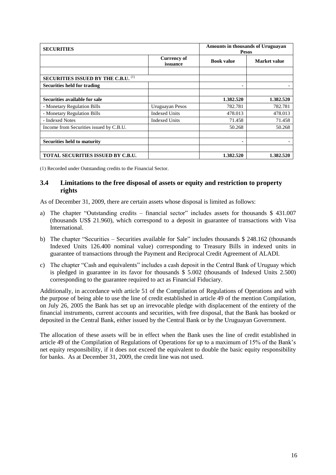| <b>SECURITIES</b>                              |                                | Amounts in thousands of Uruguayan<br><b>Pesos</b> |              |  |
|------------------------------------------------|--------------------------------|---------------------------------------------------|--------------|--|
|                                                | <b>Currency of</b><br>issuance | <b>Book value</b>                                 | Market value |  |
|                                                |                                |                                                   |              |  |
| SECURITIES ISSUED BY THE C.B.U. <sup>(1)</sup> |                                |                                                   |              |  |
| <b>Securities held for trading</b>             |                                |                                                   |              |  |
|                                                |                                |                                                   |              |  |
| Securities available for sale                  |                                | 1.382.520                                         | 1.382.520    |  |
| - Monetary Regulation Bills                    | Uruguayan Pesos                | 782.781                                           | 782.781      |  |
| - Monetary Regulation Bills                    | <b>Indexed Units</b>           | 478.013                                           | 478.013      |  |
| - Indexed Notes                                | <b>Indexed Units</b>           | 71.458                                            | 71.458       |  |
| Income from Securities issued by C.B.U.        |                                | 50.268                                            | 50.268       |  |
|                                                |                                |                                                   |              |  |
| <b>Securities held to maturity</b>             |                                |                                                   |              |  |
|                                                |                                |                                                   |              |  |
| <b>TOTAL SECURITIES ISSUED BY C.B.U.</b>       |                                | 1.382.520                                         | 1.382.520    |  |

(1) Recorded under Outstanding credits to the Financial Sector.

### **3.4 Limitations to the free disposal of assets or equity and restriction to property rights**

As of December 31, 2009, there are certain assets whose disposal is limited as follows:

- a) The chapter "Outstanding credits financial sector" includes assets for thousands \$ 431.007 (thousands US\$ 21.960), which correspond to a deposit in guarantee of transactions with Visa International.
- b) The chapter "Securities Securities available for Sale" includes thousands \$ 248.162 (thousands Indexed Units 126.400 nominal value) corresponding to Treasury Bills in indexed units in guarantee of transactions through the Payment and Reciprocal Credit Agreement of ALADI.
- c) The chapter "Cash and equivalents" includes a cash deposit in the Central Bank of Uruguay which is pledged in guarantee in its favor for thousands \$ 5.002 (thousands of Indexed Units 2.500) corresponding to the guarantee required to act as Financial Fiduciary.

Additionally, in accordance with article 51 of the Compilation of Regulations of Operations and with the purpose of being able to use the line of credit established in article 49 of the mention Compilation, on July 26, 2005 the Bank has set up an irrevocable pledge with displacement of the entirety of the financial instruments, current accounts and securities, with free disposal, that the Bank has booked or deposited in the Central Bank, either issued by the Central Bank or by the Uruguayan Government.

The allocation of these assets will be in effect when the Bank uses the line of credit established in article 49 of the Compilation of Regulations of Operations for up to a maximum of 15% of the Bank's net equity responsibility, if it does not exceed the equivalent to double the basic equity responsibility for banks. As at December 31, 2009, the credit line was not used.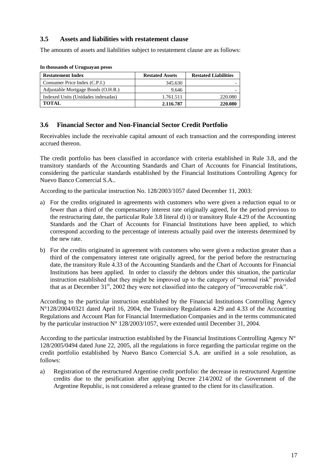### **3.5 Assets and liabilities with restatement clause**

The amounts of assets and liabilities subject to restatement clause are as follows:

| <b>Restatement Index</b>           | <b>Restated Assets</b> | <b>Restated Liabilities</b> |
|------------------------------------|------------------------|-----------------------------|
| Consumer Price Index (C.P.I.)      | 345.630                |                             |
| Adjustable Mortgage Bonds (O.H.R.) | 9.646                  |                             |
| Indexed Units (Unidades indexadas) | 1.761.511              | 220.080                     |
| <b>TOTAL</b>                       | 2.116.787              | 220.080                     |

**In thousands of Uruguayan pesos**

### **3.6 Financial Sector and Non-Financial Sector Credit Portfolio**

Receivables include the receivable capital amount of each transaction and the corresponding interest accrued thereon.

The credit portfolio has been classified in accordance with criteria established in Rule 3.8, and the transitory standards of the Accounting Standards and Chart of Accounts for Financial Institutions, considering the particular standards established by the Financial Institutions Controlling Agency for Nuevo Banco Comercial S.A..

According to the particular instruction No. 128/2003/1057 dated December 11, 2003:

- a) For the credits originated in agreements with customers who were given a reduction equal to or fewer than a third of the compensatory interest rate originally agreed, for the period previous to the restructuring date, the particular Rule 3.8 literal d) i) or transitory Rule 4.29 of the Accounting Standards and the Chart of Accounts for Financial Institutions have been applied, to which correspond according to the percentage of interests actually paid over the interests determined by the new rate.
- b) For the credits originated in agreement with customers who were given a reduction greater than a third of the compensatory interest rate originally agreed, for the period before the restructuring date, the transitory Rule 4.33 of the Accounting Standards and the Chart of Accounts for Financial Institutions has been applied. In order to classify the debtors under this situation, the particular instruction established that they might be improved up to the category of "normal risk" provided that as at December 31<sup>st</sup>, 2002 they were not classified into the category of "irrecoverable risk".

According to the particular instruction established by the Financial Institutions Controlling Agency N°128/2004/0321 dated April 16, 2004, the Transitory Regulations 4.29 and 4.33 of the Accounting Regulations and Account Plan for Financial Intermediation Companies and in the terms communicated by the particular instruction N° 128/2003/1057, were extended until December 31, 2004.

According to the particular instruction established by the Financial Institutions Controlling Agency N° 128/2005/0494 dated June 22, 2005, all the regulations in force regarding the particular regime on the credit portfolio established by Nuevo Banco Comercial S.A. are unified in a sole resolution, as follows:

a) Registration of the restructured Argentine credit portfolio: the decrease in restructured Argentine credits due to the pesification after applying Decree 214/2002 of the Government of the Argentine Republic, is not considered a release granted to the client for its classification.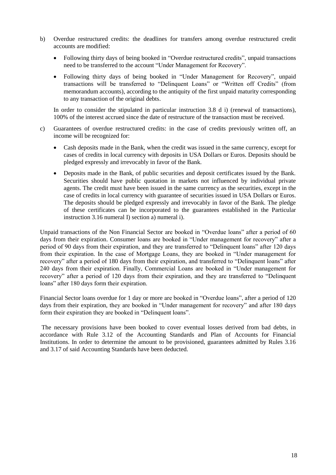- b) Overdue restructured credits: the deadlines for transfers among overdue restructured credit accounts are modified:
	- Following thirty days of being booked in "Overdue restructured credits", unpaid transactions need to be transferred to the account "Under Management for Recovery".
	- Following thirty days of being booked in "Under Management for Recovery", unpaid transactions will be transferred to "Delinquent Loans" or "Written off Credits" (from memorandum accounts), according to the antiquity of the first unpaid maturity corresponding to any transaction of the original debts.

In order to consider the stipulated in particular instruction 3.8 d i) (renewal of transactions), 100% of the interest accrued since the date of restructure of the transaction must be received.

- c) Guarantees of overdue restructured credits: in the case of credits previously written off, an income will be recognized for:
	- Cash deposits made in the Bank, when the credit was issued in the same currency, except for cases of credits in local currency with deposits in USA Dollars or Euros. Deposits should be pledged expressly and irrevocably in favor of the Bank.
	- Deposits made in the Bank, of public securities and deposit certificates issued by the Bank. Securities should have public quotation in markets not influenced by individual private agents. The credit must have been issued in the same currency as the securities, except in the case of credits in local currency with guarantee of securities issued in USA Dollars or Euros. The deposits should be pledged expressly and irrevocably in favor of the Bank. The pledge of these certificates can be incorporated to the guarantees established in the Particular instruction 3.16 numeral I) section a) numeral i).

Unpaid transactions of the Non Financial Sector are booked in "Overdue loans" after a period of 60 days from their expiration. Consumer loans are booked in "Under management for recovery" after a period of 90 days from their expiration, and they are transferred to "Delinquent loans" after 120 days from their expiration. In the case of Mortgage Loans, they are booked in "Under management for recovery" after a period of 180 days from their expiration, and transferred to "Delinquent loans" after 240 days from their expiration. Finally, Commercial Loans are booked in "Under management for recovery" after a period of 120 days from their expiration, and they are transferred to "Delinquent loans" after 180 days form their expiration.

Financial Sector loans overdue for 1 day or more are booked in "Overdue loans", after a period of 120 days from their expiration, they are booked in "Under management for recovery" and after 180 days form their expiration they are booked in "Delinquent loans".

The necessary provisions have been booked to cover eventual losses derived from bad debts, in accordance with Rule 3.12 of the Accounting Standards and Plan of Accounts for Financial Institutions. In order to determine the amount to be provisioned, guarantees admitted by Rules 3.16 and 3.17 of said Accounting Standards have been deducted.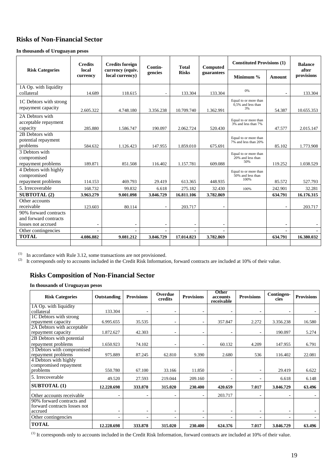### **Risks of Non-Financial Sector**

**In thousands of Uruguayan pesos**

|                                                                      | <b>Credits</b>           | <b>Credits foreign</b>              | Contin-                  | <b>Total</b>             | Computed                 | <b>Constituted Provisions (1)</b>                  |                          | <b>Balance</b><br>after |
|----------------------------------------------------------------------|--------------------------|-------------------------------------|--------------------------|--------------------------|--------------------------|----------------------------------------------------|--------------------------|-------------------------|
| <b>Risk Categories</b>                                               | local<br>currency        | currency (equiv.<br>local currency) | gencies                  | <b>Risks</b>             | guarantees               | Minimum %                                          | Amount                   | provisions              |
| 1A Op. with liquidity<br>collateral                                  | 14.689                   | 118.615                             |                          | 133.304                  | 133.304                  | 0%                                                 | $\overline{\phantom{a}}$ | 133.304                 |
| 1C Debtors with strong<br>repayment capacity                         | 2.605.322                | 4.748.180                           | 3.356.238                | 10.709.740               | 1.362.991                | Equal to or more than<br>0.5% and less than<br>3%  | 54.387                   | 10.655.353              |
| 2A Debtors with<br>acceptable repayment<br>capacity                  | 285.880                  | 1.586.747                           | 190.097                  | 2.062.724                | 520.430                  | Equal to or more than<br>3% and less than 7%       | 47.577                   | 2.015.147               |
| 2B Debtors with<br>potential repayment<br>problems                   | 584.632                  | 1.126.423                           | 147.955                  | 1.859.010                | 675.691                  | Equal to or more than<br>7% and less than 20%      | 85.102                   | 1.773.908               |
| 3 Debtors with<br>compromised<br>repayment problems                  | 189.871                  | 851.508                             | 116.402                  | 1.157.781                | 609.088                  | Equal to or more than<br>20% and less than<br>50%  | 119.252                  | 1.038.529               |
| 4 Debtors with highly<br>compromised<br>repayment problems           | 114.153                  | 469.793                             | 29.419                   | 613.365                  | 448.935                  | Equal to or more than<br>50% and less than<br>100% | 85.572                   | 527.793                 |
| 5. Irrecoverable                                                     | 168.732                  | 99.832                              | 6.618                    | 275.182                  | 32.430                   | 100%                                               | 242.901                  | 32.281                  |
| <b>SUBTOTAL (2)</b>                                                  | 3.963.279                | 9.001.098                           | 3.846.729                | 16.811.106               | 3.782.869                |                                                    | 634.791                  | 16.176.315              |
| Other accounts<br>receivable                                         | 123.603                  | 80.114                              | $\overline{\phantom{a}}$ | 203.717                  |                          |                                                    | $\overline{\phantom{a}}$ | 203.717                 |
| 90% forward contracts<br>and forward contracts<br>losses not accrued | $\overline{\phantom{a}}$ | $\overline{\phantom{a}}$            | $\overline{\phantom{a}}$ | $\overline{\phantom{a}}$ | $\overline{\phantom{a}}$ |                                                    | $\overline{\phantom{a}}$ |                         |
| Other contingencies                                                  |                          |                                     |                          |                          |                          |                                                    |                          |                         |
| <b>TOTAL</b>                                                         | 4.086.882                | 9.081.212                           | 3.846.729                | 17.014.823               | 3.782.869                |                                                    | 634.791                  | 16.380.032              |
|                                                                      |                          |                                     |                          |                          |                          |                                                    |                          |                         |

 $(1)$  In accordance with Rule 3.12, some transactions are not provisioned.

(2) It corresponds only to accounts included in the Credit Risk Information, forward contracts are included at  $10\%$  of their value.

## **Risks Composition of Non-Financial Sector**

**In thousands of Uruguayan pesos**

| <b>Risk Categories</b>                                               | Outstanding | <b>Provisions</b>        | Overdue<br>credits | <b>Provisions</b> | Other<br>accounts<br>receivable | <b>Provisions</b> | Contingen-<br>cies | <b>Provisions</b> |
|----------------------------------------------------------------------|-------------|--------------------------|--------------------|-------------------|---------------------------------|-------------------|--------------------|-------------------|
| 1A Op. with liquidity                                                |             |                          |                    |                   |                                 |                   |                    |                   |
| collateral                                                           | 133.304     |                          |                    |                   |                                 |                   |                    |                   |
| 1C Debtors with strong                                               |             |                          |                    |                   |                                 |                   |                    |                   |
| repayment capacity                                                   | 6.995.655   | 35.535                   |                    |                   | 357.847                         | 2.272             | 3.356.238          | 16.580            |
| 2A Debtors with acceptable                                           |             |                          |                    |                   |                                 |                   |                    |                   |
| repayment capacity                                                   | 1.872.627   | 42.303                   |                    |                   | -                               |                   | 190.097            | 5.274             |
| 2B Debtors with potential                                            |             |                          |                    |                   |                                 |                   |                    |                   |
| repayment problems                                                   | 1.650.923   | 74.102                   |                    |                   | 60.132                          | 4.209             | 147.955            | 6.791             |
| 3 Debtors with compromised                                           |             |                          |                    |                   |                                 |                   |                    |                   |
| repayment problems                                                   | 975.889     | 87.245                   | 62.810             | 9.390             | 2.680                           | 536               | 116.402            | 22.081            |
| 4 Debtors with highly                                                |             |                          |                    |                   |                                 |                   |                    |                   |
| compromised repayment                                                |             |                          |                    |                   |                                 |                   |                    |                   |
| problems                                                             | 550.780     | 67.100                   | 33.166             | 11.850            | $\overline{\phantom{0}}$        |                   | 29.419             | 6.622             |
| 5. Irrecoverable                                                     | 49.520      | 27.593                   | 219.044            | 209.160           | $\overline{\phantom{0}}$        |                   | 6.618              | 6.148             |
| <b>SUBTOTAL (1)</b>                                                  | 12.228.698  | 333.878                  | 315.020            | 230.400           | 420.659                         | 7.017             | 3.846.729          | 63.496            |
| Other accounts receivable                                            |             | $\overline{\phantom{a}}$ |                    |                   | 203.717                         |                   |                    |                   |
| 90% forward contracts and<br>forward contracts losses not<br>accrued |             | $\overline{\phantom{a}}$ |                    |                   | $\overline{\phantom{0}}$        |                   |                    |                   |
| Other contingencies                                                  |             | $\overline{\phantom{a}}$ |                    |                   | $\overline{\phantom{0}}$        |                   |                    |                   |
|                                                                      |             |                          |                    |                   |                                 |                   |                    |                   |
| <b>TOTAL</b>                                                         | 12.228.698  | 333.878                  | 315.020            | 230.400           | 624.376                         | 7.017             | 3.846.729          | 63.496            |

(1) It corresponds only to accounts included in the Credit Risk Information, forward contracts are included at 10% of their value.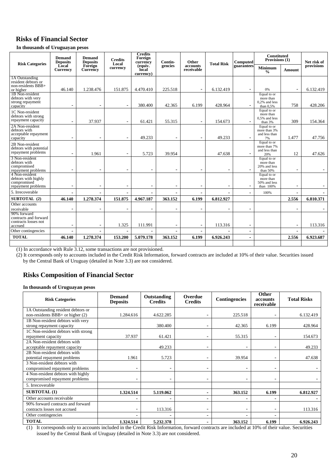### **Risks of Financial Sector**

**In thousands of Uruguayan pesos**

| <b>Risk Categories</b>                                                     | <b>Demand</b><br><b>Deposits</b> | <b>Demand</b><br><b>Deposits</b> | <b>Credits</b><br>Local | <b>Credits</b><br>Foreign<br>currency | Contin- | Other                    | <b>Total Risk</b> | Computed                 | <b>Constituted</b><br>Provisions (1)                       |                              | Net risk of |
|----------------------------------------------------------------------------|----------------------------------|----------------------------------|-------------------------|---------------------------------------|---------|--------------------------|-------------------|--------------------------|------------------------------------------------------------|------------------------------|-------------|
|                                                                            | Local<br>Currency                | Foreign<br><b>Currency</b>       | currency                | (equiv.<br>local<br>currency)         | gencies | accounts<br>receivable   |                   | guarantees               | Minimum<br>$\frac{0}{0}$                                   | <b>Amount</b>                | provisions  |
| 1A Outstanding<br>resident debtors or<br>non-residents BBB+<br>or higher   | 46.140                           | 1.238.476                        | 151.875                 | 4.470.410                             | 225.518 |                          | 6.132.419         |                          | 0%                                                         | $\overline{a}$               | 6.132.419   |
| 1B Non-resident<br>debtors with very<br>strong repayment<br>capacity       |                                  |                                  |                         | 380.400                               | 42.365  | 6.199                    | 428.964           |                          | Equal to or<br>more than<br>$0.2%$ and less<br>than $0.5%$ | 758                          | 428.206     |
| 1C Non-resident<br>debtors with strong<br>repayment capacity               |                                  | 37.937                           |                         | 61.421                                | 55.315  |                          | 154.673           |                          | Equal to or<br>more than<br>$0.5%$ and less<br>than 3%     | 309                          | 154.364     |
| 2A Non-resident<br>debtors with<br>acceptable repayment<br>capacity        | $\overline{\phantom{a}}$         | $\overline{\phantom{a}}$         |                         | 49.233                                |         |                          | 49.233            |                          | Equal to or<br>more than 3%<br>and less than<br>7%         | 1.477                        | 47.756      |
| 2B Non-resident<br>debtors with potential<br>repayment problems            | $\overline{\phantom{a}}$         | 1.961                            |                         | 5.723                                 | 39.954  |                          | 47.638            |                          | Equal to or<br>more than 7%<br>and less than<br>20%        | 12                           | 47.626      |
| 3 Non-resident<br>debtors with<br>compromised<br>repayment problems        |                                  | $\overline{\phantom{a}}$         |                         |                                       |         |                          |                   |                          | Equal to or<br>more than<br>20% and less<br>than 50%       | $\overline{\phantom{a}}$     |             |
| 4 Non-resident<br>debtors with highly<br>compromised<br>repayment problems | $\overline{\phantom{a}}$         | $\overline{\phantom{0}}$         |                         | $\overline{\phantom{a}}$              |         |                          |                   | $\overline{\phantom{a}}$ | Equal to or<br>more than<br>50% and less<br>than 100%      | $\overline{\phantom{a}}$     |             |
| 5. Irrecoverable                                                           |                                  |                                  |                         |                                       |         |                          |                   | $\overline{\phantom{a}}$ | 100%                                                       |                              |             |
| SUBTOTAL (2)                                                               | 46.140                           | 1.278.374                        | 151.875                 | 4.967.187                             | 363.152 | 6.199                    | 6.812.927         |                          |                                                            | 2.556                        | 6.810.371   |
| Other accounts<br>receivable                                               | $\overline{\phantom{a}}$         |                                  |                         |                                       |         |                          |                   | $\overline{\phantom{a}}$ |                                                            | $\qquad \qquad \blacksquare$ |             |
| 90% forward<br>contracts and forward<br>contracts losses not<br>accrued    |                                  |                                  | 1.325                   | 111.991                               |         |                          | 113.316           |                          |                                                            | $\overline{\phantom{a}}$     | 113.316     |
| Other contingencies                                                        | $\overline{\phantom{a}}$         |                                  |                         |                                       |         | $\overline{\phantom{a}}$ |                   | $\overline{\phantom{a}}$ |                                                            | $\blacksquare$               |             |
| <b>TOTAL</b>                                                               | 46.140                           | 1.278.374                        | 153.200                 | 5.079.178                             | 363.152 | 6.199                    | 6.926.243         | $\blacksquare$           |                                                            | 2.556                        | 6.923.687   |
|                                                                            |                                  |                                  |                         |                                       |         |                          |                   |                          |                                                            |                              |             |

(1) In accordance with Rule 3.12, some transactions are not provisioned.

(2) It corresponds only to accounts included in the Credit Risk Information, forward contracts are included at 10% of their value. Securities issued by the Central Bank of Uruguay (detailed in Note 3.3) are not considered.

### **Risks Composition of Financial Sector**

#### **In thousands of Uruguayan pesos**

| <b>Risk Categories</b>              | <b>Demand</b><br><b>Deposits</b> | Outstanding<br><b>Credits</b> | Overdue<br><b>Credits</b> | <b>Contingencies</b>     | <b>Other</b><br><b>accounts</b><br>receivable | <b>Total Risks</b> |
|-------------------------------------|----------------------------------|-------------------------------|---------------------------|--------------------------|-----------------------------------------------|--------------------|
| 1A Outstanding resident debtors or  |                                  |                               |                           |                          |                                               |                    |
| non-residents BBB+ or higher (2)    | 1.284.616                        | 4.622.285                     | $\overline{\phantom{0}}$  | 225.518                  |                                               | 6.132.419          |
| 1B Non-resident debtors with very   |                                  |                               |                           |                          |                                               |                    |
| strong repayment capacity           |                                  | 380.400                       | -                         | 42.365                   | 6.199                                         | 428.964            |
| 1C Non-resident debtors with strong |                                  |                               |                           |                          |                                               |                    |
| repayment capacity                  | 37.937                           | 61.421                        | -                         | 55.315                   | $\overline{\phantom{0}}$                      | 154.673            |
| 2A Non-resident debtors with        |                                  |                               |                           |                          |                                               |                    |
| acceptable repayment capacity       |                                  | 49.233                        | -                         | $\overline{\phantom{0}}$ | $\overline{\phantom{0}}$                      | 49.233             |
| 2B Non-resident debtors with        |                                  |                               |                           |                          |                                               |                    |
| potential repayment problems        | 1.961                            | 5.723                         | -                         | 39.954                   | $\overline{\phantom{0}}$                      | 47.638             |
| 3 Non-resident debtors with         |                                  |                               |                           |                          |                                               |                    |
| compromised repayment problems      | $\overline{\phantom{a}}$         |                               | -                         | $\overline{\phantom{a}}$ |                                               |                    |
| 4 Non-resident debtors with highly  |                                  |                               |                           |                          |                                               |                    |
| compromised repayment problems      |                                  |                               | -                         |                          |                                               |                    |
| 5. Irrecoverable                    |                                  |                               |                           |                          |                                               |                    |
| <b>SUBTOTAL (1)</b>                 | 1.324.514                        | 5.119.062                     | ۰.                        | 363.152                  | 6.199                                         | 6.812.927          |
| Other accounts receivable           |                                  |                               | -                         |                          |                                               |                    |
| 90% forward contracts and forward   |                                  |                               |                           |                          |                                               |                    |
| contracts losses not accrued        |                                  | 113.316                       | -                         |                          |                                               | 113.316            |
| Other contingencies                 | $\overline{\phantom{a}}$         |                               | -                         |                          |                                               |                    |
| <b>TOTAL</b>                        | 1.324.514                        | 5.232.378                     | ۰.                        | 363.152                  | 6.199                                         | 6.926.243          |

(1) It corresponds only to accounts included in the Credit Risk Information, forward contracts are included at 10% of their value. Securities issued by the Central Bank of Uruguay (detailed in Note 3.3) are not considered.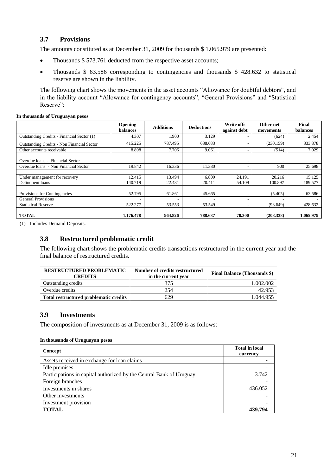### **3.7 Provisions**

The amounts constituted as at December 31, 2009 for thousands \$ 1.065.979 are presented:

- Thousands \$573.761 deducted from the respective asset accounts;
- Thousands \$ 63.586 corresponding to contingencies and thousands \$ 428.632 to statistical reserve are shown in the liability.

The following chart shows the movements in the asset accounts "Allowance for doubtful debtors", and in the liability account "Allowance for contingency accounts", "General Provisions" and "Statistical Reserve":

#### **In thousands of Uruguayan pesos**

|                                                   | <b>Opening</b><br>balances | <b>Additions</b>         | <b>Deductions</b> | <b>Write offs</b><br>against debt | Other net<br>movements | Final<br>balances |
|---------------------------------------------------|----------------------------|--------------------------|-------------------|-----------------------------------|------------------------|-------------------|
| Outstanding Credits - Financial Sector (1)        | 4.307                      | 1.900                    | 3.129             |                                   | (624)                  | 2.454             |
| <b>Outstanding Credits - Non Financial Sector</b> | 415.225                    | 787.495                  | 638.683           |                                   | (230.159)              | 333.878           |
| Other accounts receivable                         | 8.898                      | 7.706                    | 9.061             |                                   | (514)                  | 7.029             |
|                                                   |                            |                          |                   |                                   |                        |                   |
| Overdue loans - Financial Sector                  | ٠                          | $\overline{\phantom{a}}$ | ۰                 | ٠                                 |                        |                   |
| Overdue loans - Non Financial Sector              | 19.842                     | 16.336                   | 11.380            |                                   | 900                    | 25.698            |
|                                                   |                            |                          |                   |                                   |                        |                   |
| Under management for recovery                     | 12.415                     | 13.494                   | 6.809             | 24.191                            | 20.216                 | 15.125            |
| Delinquent loans                                  | 140.719                    | 22.481                   | 20.411            | 54.109                            | 100.897                | 189.577           |
|                                                   |                            |                          |                   |                                   |                        |                   |
| Provisions for Contingencies                      | 52.795                     | 61.861                   | 45.665            |                                   | (5.405)                | 63.586            |
| <b>General Provisions</b>                         |                            |                          |                   |                                   |                        |                   |
| <b>Statistical Reserve</b>                        | 522.277                    | 53.553                   | 53.549            |                                   | (93.649)               | 428.632           |
|                                                   |                            |                          |                   |                                   |                        |                   |
| <b>TOTAL</b>                                      | 1.176.478                  | 964.826                  | 788.687           | 78.300                            | (208.338)              | 1.065.979         |

(1) Includes Demand Deposits.

### **3.8 Restructured problematic credit**

The following chart shows the problematic credits transactions restructured in the current year and the final balance of restructured credits.

| <b>RESTRUCTURED PROBLEMATIC</b><br><b>CREDITS</b> | Number of credits restructured<br>in the current year | <b>Final Balance (Thousands \$)</b> |
|---------------------------------------------------|-------------------------------------------------------|-------------------------------------|
| <b>Outstanding credits</b>                        | 375                                                   | 1.002.002                           |
| Overdue credits                                   | 254                                                   | 42.953                              |
| Total restructured problematic credits            | 629                                                   | 1.044.955                           |

### **3.9 Investments**

The composition of investments as at December 31, 2009 is as follows:

#### **In thousands of Uruguayan pesos**

| Concept                                                             | <b>Total in local</b><br>currency |
|---------------------------------------------------------------------|-----------------------------------|
| Assets received in exchange for loan claims                         |                                   |
| Idle premises                                                       |                                   |
| Participations in capital authorized by the Central Bank of Uruguay | 3.742                             |
| Foreign branches                                                    |                                   |
| Investments in shares                                               | 436.052                           |
| Other investments                                                   |                                   |
| Investment provision                                                |                                   |
| <b>TOTAL</b>                                                        | 439.794                           |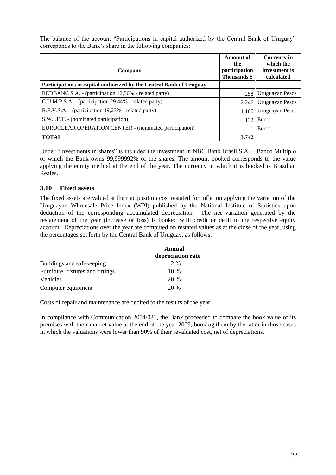The balance of the account "Participations in capital authorized by the Central Bank of Uruguay" corresponds to the Bank's share in the following companies:

| Company                                                             | Amount of<br>the<br>participation<br>Thousands \$ | <b>Currency in</b><br>which the<br>investment is<br>calculated |
|---------------------------------------------------------------------|---------------------------------------------------|----------------------------------------------------------------|
| Participations in capital authorized by the Central Bank of Uruguay |                                                   |                                                                |
| REDBANC S.A. - (participation 12,50% - related party)               | 258                                               | Uruguayan Pesos                                                |
| C.U.M.P.S.A. - (participation 29,44% - related party)               | 2.246                                             | Uruguayan Pesos                                                |
| B.E.V.S.A. - (participation 19,23% - related party)                 | 1.105                                             | Uruguayan Pesos                                                |
| S.W.I.F.T. - (nominated participation)                              | 132                                               | Euros                                                          |
| EUROCLEAR OPERATION CENTER - (nominated participation)              |                                                   | Euros                                                          |
| <b>TOTAL</b>                                                        | 3.742                                             |                                                                |

Under "Investments in shares" is included the investment in NBC Bank Brasil S.A. – Banco Multiplo of which the Bank owns 99,999992% of the shares. The amount booked corresponds to the value applying the equity method at the end of the year. The currency in which it is booked is Brazilian Reales.

### **3.10 Fixed assets**

The fixed assets are valued at their acquisition cost restated for inflation applying the variation of the Uruguayan Wholesale Price Index (WPI) published by the National Institute of Statistics upon deduction of the corresponding accumulated depreciation. The net variation generated by the restatement of the year (increase or loss) is booked with credit or debit to the respective equity account. Depreciations over the year are computed on restated values as at the close of the year, using the percentages set forth by the Central Bank of Uruguay, as follows:

|                                  | Annual<br>depreciation rate |
|----------------------------------|-----------------------------|
| Buildings and safekeeping        | 2 %                         |
| Furniture, fixtures and fittings | $10\%$                      |
| Vehicles                         | 20 %                        |
| Computer equipment               | 20%                         |

Costs of repair and maintenance are debited to the results of the year.

In compliance with Communication 2004/021, the Bank proceeded to compare the book value of its premises with their market value at the end of the year 2009, booking them by the latter in those cases in which the valuations were lower than 90% of their revaluated cost, net of depreciations.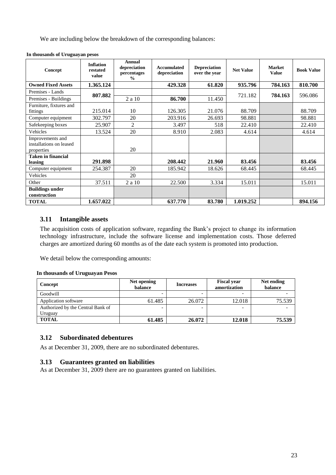We are including below the breakdown of the corresponding balances:

| Concept                                                   | <b>Inflation</b><br>restated<br>value | <b>Annual</b><br>depreciation<br>percentages<br>$\frac{0}{0}$ | Accumulated<br>depreciation | <b>Depreciation</b><br>over the year | <b>Net Value</b> | <b>Market</b><br><b>Value</b> | <b>Book Value</b> |
|-----------------------------------------------------------|---------------------------------------|---------------------------------------------------------------|-----------------------------|--------------------------------------|------------------|-------------------------------|-------------------|
| <b>Owned Fixed Assets</b>                                 | 1.365.124                             |                                                               | 429.328                     | 61.820                               | 935.796          | 784.163                       | 810.700           |
| Premises - Lands                                          | 807.882                               |                                                               |                             |                                      | 721.182          | 784.163                       | 596.086           |
| Premises - Buildings                                      |                                       | 2 a 10                                                        | 86.700                      | 11.450                               |                  |                               |                   |
| Furniture, fixtures and                                   |                                       |                                                               |                             |                                      |                  |                               |                   |
| fittings                                                  | 215.014                               | 10                                                            | 126.305                     | 21.076                               | 88.709           |                               | 88.709            |
| Computer equipment                                        | 302.797                               | 20                                                            | 203.916                     | 26.693                               | 98.881           |                               | 98.881            |
| Safekeeping boxes                                         | 25.907                                | $\overline{2}$                                                | 3.497                       | 518                                  | 22.410           |                               | 22.410            |
| Vehicles                                                  | 13.524                                | 20                                                            | 8.910                       | 2.083                                | 4.614            |                               | 4.614             |
| Improvements and<br>installations on leased<br>properties |                                       | 20                                                            |                             |                                      |                  |                               |                   |
| <b>Taken in financial</b><br>leasing                      | 291.898                               |                                                               | 208.442                     | 21.960                               | 83.456           |                               | 83.456            |
| Computer equipment                                        | 254.387                               | 20                                                            | 185.942                     | 18.626                               | 68.445           |                               | 68.445            |
| Vehicles                                                  |                                       | 20                                                            |                             |                                      |                  |                               |                   |
| Other                                                     | 37.511                                | 2 a 10                                                        | 22.500                      | 3.334                                | 15.011           |                               | 15.011            |
| <b>Buildings under</b><br>construction                    |                                       |                                                               |                             |                                      |                  |                               |                   |
| <b>TOTAL</b>                                              | 1.657.022                             |                                                               | 637.770                     | 83.780                               | 1.019.252        |                               | 894.156           |

**In thousands of Uruguayan pesos**

### **3.11 Intangible assets**

The acquisition costs of application software, regarding the Bank's project to change its information technology infrastructure, include the software license and implementation costs. Those deferred charges are amortized during 60 months as of the date each system is promoted into production.

We detail below the corresponding amounts:

#### **In thousands of Uruguayan Pesos**

| Concept                           | Net opening<br><b>Increases</b><br>balance |        | <b>Fiscal year</b><br>amortization | Net ending<br>balance |
|-----------------------------------|--------------------------------------------|--------|------------------------------------|-----------------------|
| Goodwill                          |                                            |        |                                    |                       |
| Application software              | 61.485                                     | 26.072 | 12.018                             | 75.539                |
| Authorized by the Central Bank of |                                            |        |                                    |                       |
| Uruguay                           |                                            |        |                                    |                       |
| <b>TOTAL</b>                      | 61.485                                     | 26.072 | 12.018                             | 75.539                |

#### **3.12 Subordinated debentures**

As at December 31, 2009, there are no subordinated debentures.

#### **3.13 Guarantees granted on liabilities**

As at December 31, 2009 there are no guarantees granted on liabilities.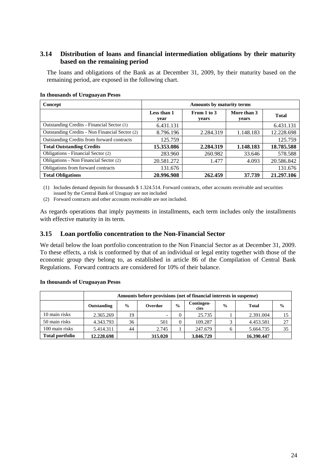### **3.14 Distribution of loans and financial intermediation obligations by their maturity based on the remaining period**

The loans and obligations of the Bank as at December 31, 2009, by their maturity based on the remaining period, are exposed in the following chart.

| Concept                                        | Amounts by maturity terms |                      |                      |              |  |  |  |
|------------------------------------------------|---------------------------|----------------------|----------------------|--------------|--|--|--|
|                                                | Less than 1<br>year       | From 1 to 3<br>years | More than 3<br>years | <b>Total</b> |  |  |  |
| Outstanding Credits - Financial Sector (1)     | 6.431.131                 |                      |                      | 6.431.131    |  |  |  |
| Outstanding Credits - Non Financial Sector (2) | 8.796.196                 | 2.284.319            | 1.148.183            | 12.228.698   |  |  |  |
| Outstanding Credits from forward contracts     | 125.759                   |                      |                      | 125.759      |  |  |  |
| <b>Total Outstanding Credits</b>               | 15.353.086                | 2.284.319            | 1.148.183            | 18.785.588   |  |  |  |
| Obligations - Financial Sector (2)             | 283.960                   | 260.982              | 33.646               | 578.588      |  |  |  |
| Obligations - Non Financial Sector (2)         | 20.581.272                | 1.477                | 4.093                | 20.586.842   |  |  |  |
| Obligations from forward contracts             | 131.676                   |                      |                      | 131.676      |  |  |  |
| <b>Total Obligations</b>                       | 20.996.908                | 262.459              | 37.739               | 21.297.106   |  |  |  |

#### **In thousands of Uruguayan Pesos**

(1) Includes demand deposits for thousands \$ 1.324.514. Forward contracts, other accounts receivable and securities issued by the Central Bank of Uruguay are not included

(2) Forward contracts and other accounts receivable are not included.

As regards operations that imply payments in installments, each term includes only the installments with effective maturity in its term.

#### **3.15 Loan portfolio concentration to the Non-Financial Sector**

We detail below the loan portfolio concentration to the Non Financial Sector as at December 31, 2009. To these effects, a risk is conformed by that of an individual or legal entity together with those of the economic group they belong to, as established in article 86 of the Compilation of Central Bank Regulations. Forward contracts are considered for 10% of their balance.

|                        | Amounts before provisions (net of financial interests in suspense) |               |         |               |                    |               |              |               |  |
|------------------------|--------------------------------------------------------------------|---------------|---------|---------------|--------------------|---------------|--------------|---------------|--|
|                        | Outstanding                                                        | $\frac{0}{0}$ | Overdue | $\frac{0}{0}$ | Contingen-<br>cies | $\frac{0}{0}$ | <b>Total</b> | $\frac{0}{0}$ |  |
| 10 main risks          | 2.365.269                                                          | 19            |         |               | 25.735             |               | 2.391.004    |               |  |
| 50 main risks          | 4.343.793                                                          | 36            | 501     |               | 109.287            |               | 4.453.581    | 27            |  |
| 100 main risks         | 5.414.311                                                          | 44            | 2.745   |               | 247.679            | h             | 5.664.735    | 35            |  |
| <b>Total portfolio</b> | 12.228.698                                                         |               | 315.020 |               | 3.846.729          |               | 16.390.447   |               |  |

#### **In thousands of Uruguayan Pesos**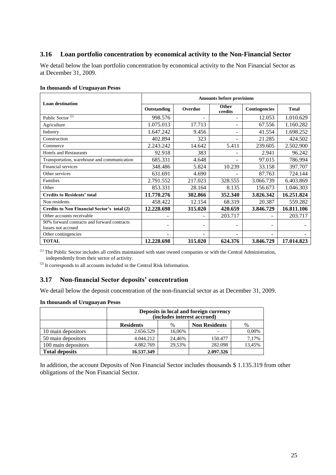### **3.16 Loan portfolio concentration by economical activity to the Non-Financial Sector**

We detail below the loan portfolio concentration by economical activity to the Non Financial Sector as at December 31, 2009.

#### **In thousands of Uruguayan Pesos**

| <b>Loan destination</b>                                           | <b>Amounts before provisions</b> |         |                          |                      |              |  |  |  |
|-------------------------------------------------------------------|----------------------------------|---------|--------------------------|----------------------|--------------|--|--|--|
|                                                                   | Outstanding                      | Overdue | Other<br>credits         | <b>Contingencies</b> | <b>Total</b> |  |  |  |
| Public Sector $(1)$                                               | 998.576                          |         | ۰                        | 12.053               | 1.010.629    |  |  |  |
| Agriculture                                                       | 1.075.013                        | 17.713  | ۰                        | 67.556               | 1.160.282    |  |  |  |
| Industry                                                          | 1.647.242                        | 9.456   | $\overline{\phantom{a}}$ | 41.554               | 1.698.252    |  |  |  |
| Construction                                                      | 402.894                          | 323     |                          | 21.285               | 424.502      |  |  |  |
| Commerce                                                          | 2.243.242                        | 14.642  | 5.411                    | 239.605              | 2.502.900    |  |  |  |
| <b>Hotels and Restaurants</b>                                     | 92.918                           | 383     | $\overline{\phantom{0}}$ | 2.941                | 96.242       |  |  |  |
| Transportation, warehouse and communication                       | 685.331                          | 4.648   |                          | 97.015               | 786.994      |  |  |  |
| Financial services                                                | 348.486                          | 5.824   | 10.239                   | 33.158               | 397.707      |  |  |  |
| Other services                                                    | 631.691                          | 4.690   |                          | 87.763               | 724.144      |  |  |  |
| Families                                                          | 2.791.552                        | 217.023 | 328.555                  | 3.066.739            | 6.403.869    |  |  |  |
| Other                                                             | 853.331                          | 28.164  | 8.135                    | 156.673              | 1.046.303    |  |  |  |
| <b>Credits to Residents' total</b>                                | 11.770.276                       | 302.866 | 352.340                  | 3.826.342            | 16.251.824   |  |  |  |
| Non residents                                                     | 458.422                          | 12.154  | 68.319                   | 20.387               | 559.282      |  |  |  |
| Credits to Non Financial Sector's total (2)                       | 12.228.698                       | 315.020 | 420.659                  | 3.846.729            | 16.811.106   |  |  |  |
| Other accounts receivable                                         |                                  |         | 203.717                  | ۰                    | 203.717      |  |  |  |
| 90% forward contracts and forward contracts<br>losses not accrued |                                  | ۰       | ۰                        | ۰                    |              |  |  |  |
| Other contingencies                                               |                                  |         |                          |                      |              |  |  |  |
| <b>TOTAL</b>                                                      | 12.228.698                       | 315.020 | 624.376                  | 3.846.729            | 17.014.823   |  |  |  |

(1) The Public Sector includes all credits maintained with state owned companies or with the Central Administration, independently from their sector of activity.

(2) It corresponds to all accounts included in the Central Risk Information.

#### **3.17 Non-financial Sector deposits' concentration**

We detail below the deposit concentration of the non-financial sector as at December 31, 2009.

#### **In thousands of Uruguayan Pesos**

|                       | Deposits in local and foreign currency<br>(includes interest accrued) |        |                      |        |  |  |  |
|-----------------------|-----------------------------------------------------------------------|--------|----------------------|--------|--|--|--|
|                       | <b>Residents</b>                                                      | $\%$   | <b>Non Residents</b> | %      |  |  |  |
| 10 main depositors    | 2.656.529                                                             | 16,06% |                      | 0,00%  |  |  |  |
| 50 main depositors    | 4.044.212                                                             | 24.46% | 150.477              | 7,17%  |  |  |  |
| 100 main depositors   | 4.882.769                                                             | 29.53% | 282.098              | 13.45% |  |  |  |
| <b>Total deposits</b> | 16.537.349                                                            |        | 2.097.326            |        |  |  |  |

In addition, the account Deposits of Non Financial Sector includes thousands \$ 1.135.319 from other obligations of the Non Financial Sector.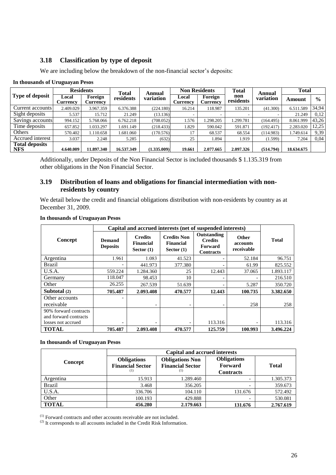### **3.18 Classification by type of deposit**

We are including below the breakdown of the non-financial sector's deposits:

|                                     |                   | <b>Residents</b>    | <b>Total</b><br>Annual |             | <b>Non Residents</b> |                            | <b>Total</b>     | Annual    | <b>Total</b> |               |
|-------------------------------------|-------------------|---------------------|------------------------|-------------|----------------------|----------------------------|------------------|-----------|--------------|---------------|
| <b>Type of deposit</b>              | ∟ocal<br>Currencv | Foreign<br>Currency | residents              | variation   | Local<br>Currency    | Foreign<br><b>Currency</b> | non<br>residents | variation | Amount       | $\frac{0}{0}$ |
| Current accounts                    | 2.409.029         | 3.967.359           | 6.376.388              | (224.180)   | 16.214               | 118.987                    | 135.201          | (41.300)  | 6.511.589    | 34,94         |
| Sight deposits                      | 5.537             | 15.712              | 21.249                 | (13.136)    |                      |                            |                  |           | 21.249       | 0,12          |
| Savings accounts                    | 994.152           | 5.768.066           | 6.762.218              | (708.052)   | .576                 | .298.205                   | 1.299.781        | (164.495) | 8.061.999    | 43,26         |
| Time deposits                       | 657.852           | 1.033.297           | 1.691.149              | (218.433)   | 1.829                | 590.042                    | 591.871          | (192.417) | 2.283.020    | 12.25         |
| Others                              | 570.402           | 1.110.658           | 1.681.060              | (170.576)   | 17                   | 68.537                     | 68.554           | (114.983) | 1.749.614    | 9,39          |
| Accrued interest                    | 3.037             | 2.248               | 5.285                  | (632)       | 25                   | 1.894                      | 1.919            | (1.599)   | 7.204        | 0.04          |
| <b>Total deposits</b><br><b>NFS</b> | 4.640.009         | 11.897.340          | 16.537.349             | (1.335.009) | 19.661               | 2.077.665                  | 2.097.326        | (514.794) | 18.634.675   |               |

#### **In thousands of Uruguayan Pesos**

Additionally, under Deposits of the Non Financial Sector is included thousands \$ 1.135.319 from other obligations in the Non Financial Sector.

#### **3.19 Distribution of loans and obligations for financial intermediation with nonresidents by country**

We detail below the credit and financial obligations distribution with non-residents by country as at December 31, 2009.

|                                                                      | Capital and accrued interests (net of suspended interests) |                                                    |                                                        |                                                              |                                        |              |  |  |
|----------------------------------------------------------------------|------------------------------------------------------------|----------------------------------------------------|--------------------------------------------------------|--------------------------------------------------------------|----------------------------------------|--------------|--|--|
| Concept                                                              | <b>Demand</b><br><b>Deposits</b>                           | <b>Credits</b><br><b>Financial</b><br>Sector $(1)$ | <b>Credits Non</b><br><b>Financial</b><br>Sector $(1)$ | Outstanding<br><b>Credits</b><br>Forward<br><b>Contracts</b> | <b>Other</b><br>accounts<br>receivable | <b>Total</b> |  |  |
| Argentina                                                            | 1.961                                                      | 1.083                                              | 41.523                                                 |                                                              | 52.184                                 | 96.751       |  |  |
| <b>Brazil</b>                                                        |                                                            | 441.973                                            | 377.380                                                |                                                              | 61.99                                  | 825.552      |  |  |
| U.S.A.                                                               | 559.224                                                    | 1.284.360                                          | 25                                                     | 12.443                                                       | 37.065                                 | 1.893.117    |  |  |
| Germany                                                              | 118.047                                                    | 98.453                                             | 10                                                     | -                                                            |                                        | 216.510      |  |  |
| Other                                                                | 26.255                                                     | 267.539                                            | 51.639                                                 |                                                              | 5.287                                  | 350.720      |  |  |
| Subtotal (2)                                                         | 705.487                                                    | 2.093.408                                          | 470.577                                                | 12.443                                                       | 100.735                                | 3.382.650    |  |  |
| Other accounts<br>receivable                                         |                                                            | -                                                  | -                                                      | -                                                            | 258                                    | 258          |  |  |
| 90% forward contracts<br>and forward contracts<br>losses not accrued |                                                            | -                                                  |                                                        | 113.316                                                      |                                        | 113.316      |  |  |
| <b>TOTAL</b>                                                         | 705.487                                                    | 2.093.408                                          | 470.577                                                | 125.759                                                      | 100.993                                | 3.496.224    |  |  |

#### **In thousands of Uruguayan Pesos**

#### **In thousands of Uruguayan Pesos**

|               | <b>Capital and accrued interests</b>                 |                                                          |                                                          |              |  |  |  |  |
|---------------|------------------------------------------------------|----------------------------------------------------------|----------------------------------------------------------|--------------|--|--|--|--|
| Concept       | <b>Obligations</b><br><b>Financial Sector</b><br>(1) | <b>Obligations Non</b><br><b>Financial Sector</b><br>(1) | <b>Obligations</b><br><b>Forward</b><br><b>Contracts</b> | <b>Total</b> |  |  |  |  |
| Argentina     | 15.913                                               | 1.289.460                                                |                                                          | 1.305.373    |  |  |  |  |
| <b>Brazil</b> | 3.468                                                | 356.205                                                  |                                                          | 359.673      |  |  |  |  |
| U.S.A.        | 336.706                                              | 104.110                                                  | 131.676                                                  | 572.492      |  |  |  |  |
| Other         | 100.193                                              | 429.888                                                  |                                                          | 530.081      |  |  |  |  |
| <b>TOTAL</b>  | 456.280                                              | 2.179.663                                                | 131.676                                                  | 2.767.619    |  |  |  |  |

 $<sup>(1)</sup>$  Forward contracts and other accounts receivable are not included.</sup>

 $^{(2)}$  It corresponds to all accounts included in the Credit Risk Information.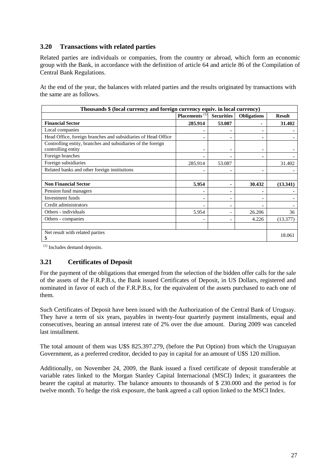### **3.20 Transactions with related parties**

Related parties are individuals or companies, from the country or abroad, which form an economic group with the Bank, in accordance with the definition of article 64 and article 86 of the Compilation of Central Bank Regulations.

At the end of the year, the balances with related parties and the results originated by transactions with the same are as follows.

| Thousands \$ (local currency and foreign currency equiv. in local currency) |         |        |        |          |  |  |  |
|-----------------------------------------------------------------------------|---------|--------|--------|----------|--|--|--|
| Placements <sup>(1)</sup><br><b>Securities</b><br><b>Obligations</b>        |         |        |        |          |  |  |  |
| <b>Financial Sector</b>                                                     | 285.914 | 53.087 |        | 31.402   |  |  |  |
| Local companies                                                             |         |        |        |          |  |  |  |
| Head Office, foreign branches and subsidiaries of Head Office               |         |        |        |          |  |  |  |
| Controlling entity, branches and subsidiaries of the foreign                |         |        |        |          |  |  |  |
| controlling entity                                                          |         |        |        |          |  |  |  |
| Foreign branches                                                            |         |        |        |          |  |  |  |
| Foreign subsidiaries                                                        | 285.914 | 53.087 |        | 31.402   |  |  |  |
| Related banks and other foreign institutions                                |         |        |        |          |  |  |  |
|                                                                             |         |        |        |          |  |  |  |
| <b>Non Financial Sector</b>                                                 | 5.954   |        | 30.432 | (13.341) |  |  |  |
| Pension fund managers                                                       |         |        |        |          |  |  |  |
| Investment funds                                                            |         |        |        |          |  |  |  |
| Credit administrators                                                       | ۰       |        |        |          |  |  |  |
| Others - individuals                                                        | 5.954   |        | 26.206 | 36       |  |  |  |
| Others - companies                                                          |         |        | 4.226  | (13.377) |  |  |  |
|                                                                             |         |        |        |          |  |  |  |
| Net result with related parties<br>S                                        |         |        |        | 18.061   |  |  |  |

 $(1)$  Includes demand deposits.

## **3.21 Certificates of Deposit**

For the payment of the obligations that emerged from the selection of the bidden offer calls for the sale of the assets of the F.R.P.B.s, the Bank issued Certificates of Deposit, in US Dollars, registered and nominated in favor of each of the F.R.P.B.s, for the equivalent of the assets purchased to each one of them.

Such Certificates of Deposit have been issued with the Authorization of the Central Bank of Uruguay. They have a term of six years, payables in twenty-four quarterly payment installments, equal and consecutives, bearing an annual interest rate of 2% over the due amount. During 2009 was canceled last installment.

The total amount of them was U\$S 825.397.279, (before the Put Option) from which the Uruguayan Government, as a preferred creditor, decided to pay in capital for an amount of U\$S 120 million.

Additionally, on November 24, 2009, the Bank issued a fixed certificate of deposit transferable at variable rates linked to the Morgan Stanley Capital Internacional (MSCI) Index; it guarantees the bearer the capital at maturity. The balance amounts to thousands of \$ 230.000 and the period is for twelve month. To hedge the risk exposure, the bank agreed a call option linked to the MSCI Index.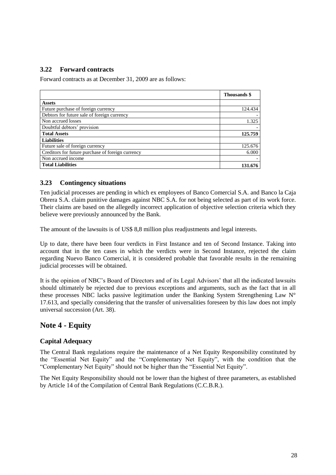### **3.22 Forward contracts**

Forward contracts as at December 31, 2009 are as follows:

|                                                   | Thousands \$ |
|---------------------------------------------------|--------------|
| <b>Assets</b>                                     |              |
| Future purchase of foreign currency               | 124.434      |
| Debtors for future sale of foreign currency       |              |
| Non accrued losses                                | 1.325        |
| Doubtful debtors' provision                       |              |
| <b>Total Assets</b>                               | 125.759      |
| <b>Liabilities</b>                                |              |
| Future sale of foreign currency                   | 125.676      |
| Creditors for future purchase of foreign currency | 6.000        |
| Non accrued income                                |              |
| <b>Total Liabilities</b>                          | 131.676      |

#### **3.23 Contingency situations**

Ten judicial processes are pending in which ex employees of Banco Comercial S.A. and Banco la Caja Obrera S.A. claim punitive damages against NBC S.A. for not being selected as part of its work force. Their claims are based on the allegedly incorrect application of objective selection criteria which they believe were previously announced by the Bank.

The amount of the lawsuits is of US\$ 8,8 million plus readjustments and legal interests.

Up to date, there have been four verdicts in First Instance and ten of Second Instance. Taking into account that in the ten cases in which the verdicts were in Second Instance, rejected the claim regarding Nuevo Banco Comercial, it is considered probable that favorable results in the remaining judicial processes will be obtained.

It is the opinion of NBC's Board of Directors and of its Legal Advisors' that all the indicated lawsuits should ultimately be rejected due to previous exceptions and arguments, such as the fact that in all these processes NBC lacks passive legitimation under the Banking System Strengthening Law N° 17.613, and specially considering that the transfer of universalities foreseen by this law does not imply universal succession (Art. 38).

## **Note 4 - Equity**

#### **Capital Adequacy**

The Central Bank regulations require the maintenance of a Net Equity Responsibility constituted by the "Essential Net Equity" and the "Complementary Net Equity", with the condition that the "Complementary Net Equity" should not be higher than the "Essential Net Equity".

The Net Equity Responsibility should not be lower than the highest of three parameters, as established by Article 14 of the Compilation of Central Bank Regulations (C.C.B.R.).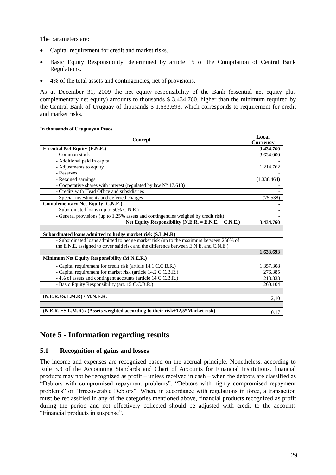The parameters are:

- Capital requirement for credit and market risks.
- Basic Equity Responsibility, determined by article 15 of the Compilation of Central Bank Regulations.
- 4% of the total assets and contingencies, net of provisions.

As at December 31, 2009 the net equity responsibility of the Bank (essential net equity plus complementary net equity) amounts to thousands \$ 3.434.760, higher than the minimum required by the Central Bank of Uruguay of thousands \$ 1.633.693, which corresponds to requirement for credit and market risks.

#### **In thousands of Uruguayan Pesos**

| Concept                                                                               | Local<br><b>Currency</b> |
|---------------------------------------------------------------------------------------|--------------------------|
| <b>Essential Net Equity (E.N.E.)</b>                                                  | 3.434.760                |
| - Common stock                                                                        | 3.634.000                |
| - Additional paid in capital                                                          |                          |
| - Adjustments to equity                                                               | 1.214.762                |
| - Reserves                                                                            |                          |
| - Retained earnings                                                                   | (1.338.464)              |
| - Cooperative shares with interest (regulated by law $N^{\circ}$ 17.613)              |                          |
| - Credits with Head Office and subsidiaries                                           |                          |
| - Special investments and deferred charges                                            | (75.538)                 |
| <b>Complementary Net Equity (C.N.E.)</b>                                              |                          |
| - Subordinated loans (up to 50% C.N.E.)                                               |                          |
| - General provisions (up to 1,25% assets and contingencies weighed by credit risk)    |                          |
| Net Equity Responsibility (N.E.R. = E.N.E. + C.N.E.)                                  | 3.434.760                |
|                                                                                       |                          |
| Subordinated loans admitted to hedge market risk (S.L.M.R)                            |                          |
| - Subordinated loans admitted to hedge market risk (up to the maximum between 250% of |                          |
| the E.N.E. assigned to cover said risk and the difference between E.N.E. and C.N.E.)  |                          |
|                                                                                       | 1.633.693                |
| Minimum Net Equity Responsibility (M.N.E.R.)                                          |                          |
| - Capital requirement for credit risk (article 14.1 C.C.B.R.)                         | 1.357.308                |
| - Capital requirement for market risk (article 14.2 C.C.B.R.)                         | 276.385                  |
| -4% of assets and contingent accounts (article 14 C.C.B.R.)                           | 1.213.833                |
| - Basic Equity Responsibility (art. 15 C.C.B.R.)                                      | 260.104                  |
|                                                                                       |                          |
| $(N.E.R.+S.L.M.R) / M.N.E.R.$                                                         | 2,10                     |
|                                                                                       |                          |
| $(N.E.R. + S.L.M.R) / (Assets weighted according to their risk+12,5*Market risk)$     | 0,17                     |

## **Note 5 - Information regarding results**

#### **5.1 Recognition of gains and losses**

The income and expenses are recognized based on the accrual principle. Nonetheless, according to Rule 3.3 of the Accounting Standards and Chart of Accounts for Financial Institutions, financial products may not be recognized as profit – unless received in cash – when the debtors are classified as "Debtors with compromised repayment problems", "Debtors with highly compromised repayment problems" or "Irrecoverable Debtors". When, in accordance with regulations in force, a transaction must be reclassified in any of the categories mentioned above, financial products recognized as profit during the period and not effectively collected should be adjusted with credit to the accounts "Financial products in suspense".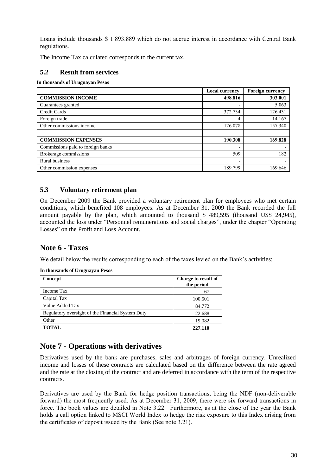Loans include thousands \$ 1.893.889 which do not accrue interest in accordance with Central Bank regulations.

The Income Tax calculated corresponds to the current tax.

### **5.2 Result from services**

#### **In thousands of Uruguayan Pesos**

|                                   | <b>Local currency</b>    | <b>Foreign currency</b> |
|-----------------------------------|--------------------------|-------------------------|
| <b>COMMISSION INCOME</b>          | 498.816                  | 303.001                 |
| Guarantees granted                |                          | 5.063                   |
| Credit Cards                      | 372.734                  | 126.431                 |
| Foreign trade                     | 4                        | 14.167                  |
| Other commissions income          | 126.078                  | 157.340                 |
|                                   |                          |                         |
| <b>COMMISSION EXPENSES</b>        | 190.308                  | 169.828                 |
| Commissions paid to foreign banks | -                        |                         |
| <b>Brokerage commissions</b>      | 509                      | 182                     |
| <b>Rural business</b>             | $\overline{\phantom{0}}$ |                         |
| Other commission expenses         | 189.799                  | 169.646                 |

### **5.3 Voluntary retirement plan**

On December 2009 the Bank provided a voluntary retirement plan for employees who met certain conditions, which benefited 108 employees. As at December 31, 2009 the Bank recorded the full amount payable by the plan, which amounted to thousand \$ 489,595 (thousand U\$S 24,945), accounted the loss under "Personnel remunerations and social charges", under the chapter "Operating Losses" on the Profit and Loss Account.

## **Note 6 - Taxes**

We detail below the results corresponding to each of the taxes levied on the Bank's activities:

| Concept                                           | Charge to result of<br>the period |
|---------------------------------------------------|-----------------------------------|
| Income Tax                                        | 67                                |
| Capital Tax                                       | 100.501                           |
| Value Added Tax                                   | 84.772                            |
| Regulatory oversight of the Financial System Duty | 22.688                            |
| Other                                             | 19.082                            |
| <b>TOTAL</b>                                      | 227.110                           |

#### **In thousands of Uruguayan Pesos**

## **Note 7 - Operations with derivatives**

Derivatives used by the bank are purchases, sales and arbitrages of foreign currency. Unrealized income and losses of these contracts are calculated based on the difference between the rate agreed and the rate at the closing of the contract and are deferred in accordance with the term of the respective contracts.

Derivatives are used by the Bank for hedge position transactions, being the NDF (non-deliverable forward) the most frequently used. As at December 31, 2009, there were six forward transactions in force. The book values are detailed in Note 3.22. Furthermore, as at the close of the year the Bank holds a call option linked to MSCI World Index to hedge the risk exposure to this Index arising from the certificates of deposit issued by the Bank (See note 3.21).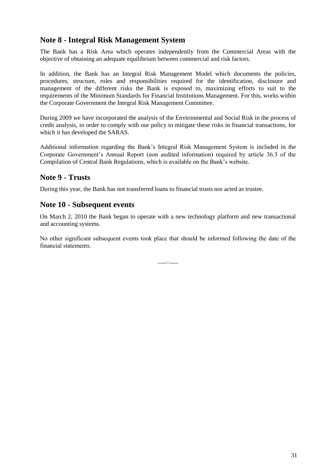## **Note 8 - Integral Risk Management System**

The Bank has a Risk Area which operates independently from the Commercial Areas with the objective of obtaining an adequate equilibrium between commercial and risk factors.

In addition, the Bank has an Integral Risk Management Model which documents the policies, procedures, structure, roles and responsibilities required for the identification, disclosure and management of the different risks the Bank is exposed to, maximizing efforts to suit to the requirements of the Minimum Standards for Financial Institutions Management. For this, works within the Corporate Government the Integral Risk Management Committee.

During 2009 we have incorporated the analysis of the Environmental and Social Risk in the process of credit analysis, in order to comply with our policy to mitigate these risks in financial transactions, for which it has developed the SARAS.

Additional information regarding the Bank's Integral Risk Management System is included in the Corporate Government's Annual Report (non audited information) required by article 36.3 of the Compilation of Central Bank Regulations, which is available on the Bank's website.

## **Note 9 - Trusts**

During this year, the Bank has not transferred loans to financial trusts nor acted as trustee.

## **Note 10 - Subsequent events**

On March 2, 2010 the Bank began to operate with a new technology platform and new transactional and accounting systems.

No other significant subsequent events took place that should be informed following the date of the financial statements.

 $\overline{\phantom{a}}$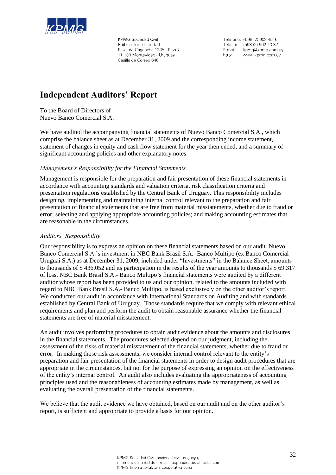

**KPMG Sociedad Civil** Edificio Torre Libertad Plaza de Cagancha 1335 - Piso 7 11.100 Montevideo - Uruguay Casilla de Correo 646

Teléfono: +598 (2) 902 4546 Telefax: +598 (2) 902 13 37 E-mail: kpmg@kpmg.com.uy http: www.kpmg.com.uy

# **Independent Auditors' Report**

To the Board of Directors of Nuevo Banco Comercial S.A.

We have audited the accompanying financial statements of Nuevo Banco Comercial S.A., which comprise the balance sheet as at December 31, 2009 and the corresponding income statement, statement of changes in equity and cash flow statement for the year then ended, and a summary of significant accounting policies and other explanatory notes.

#### *Management's Responsibility for the Financial Statements*

Management is responsible for the preparation and fair presentation of these financial statements in accordance with accounting standards and valuation criteria, risk classification criteria and presentation regulations established by the Central Bank of Uruguay. This responsibility includes designing, implementing and maintaining internal control relevant to the preparation and fair presentation of financial statements that are free from material misstatements, whether due to fraud or error; selecting and applying appropriate accounting policies; and making accounting estimates that are reasonable in the circumstances.

#### *Auditors' Responsibility*

Our responsibility is to express an opinion on these financial statements based on our audit. Nuevo Banco Comercial S.A.'s investment in NBC Bank Brasil S.A.- Banco Multipo (ex Banco Comercial Uruguai S.A.) as at December 31, 2009, included under "Investments" in the Balance Sheet, amounts to thousands of \$ 436.052 and its participation in the results of the year amounts to thousands \$ 69.317 of loss. NBC Bank Brasil S.A.- Banco Multipo's financial statements were audited by a different auditor whose report has been provided to us and our opinion, related to the amounts included with regard to NBC Bank Brasil S.A.- Banco Multipo, is based exclusively on the other auditor's report. We conducted our audit in accordance with International Standards on Auditing and with standards established by Central Bank of Uruguay. Those standards require that we comply with relevant ethical requirements and plan and perform the audit to obtain reasonable assurance whether the financial statements are free of material misstatement.

An audit involves performing procedures to obtain audit evidence about the amounts and disclosures in the financial statements. The procedures selected depend on our judgment, including the assessment of the risks of material misstatement of the financial statements, whether due to fraud or error. In making those risk assessments, we consider internal control relevant to the entity's preparation and fair presentation of the financial statements in order to design audit procedures that are appropriate in the circumstances, but not for the purpose of expressing an opinion on the effectiveness of the entity's internal control. An audit also includes evaluating the appropriateness of accounting principles used and the reasonableness of accounting estimates made by management, as well as evaluating the overall presentation of the financial statements.

We believe that the audit evidence we have obtained, based on our audit and on the other auditor's report, is sufficient and appropriate to provide a basis for our opinion.